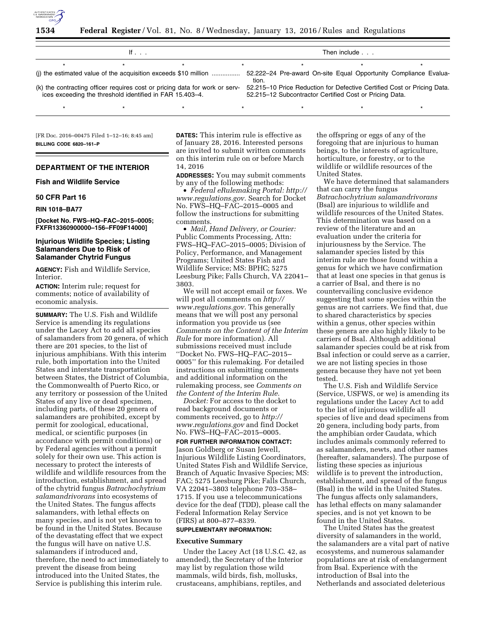

| If $\ldots$                                                                                                                             |  |  |  | Then include                                                                                                                       |  |  |  |
|-----------------------------------------------------------------------------------------------------------------------------------------|--|--|--|------------------------------------------------------------------------------------------------------------------------------------|--|--|--|
|                                                                                                                                         |  |  |  |                                                                                                                                    |  |  |  |
| 52.222–24 Pre-award On-site Equal Opportunity Compliance Evalua-<br>tion.                                                               |  |  |  |                                                                                                                                    |  |  |  |
| (k) the contracting officer requires cost or pricing data for work or serv-<br>ices exceeding the threshold identified in FAR 15.403-4. |  |  |  | 52.215–10 Price Reduction for Defective Certified Cost or Pricing Data.<br>52.215–12 Subcontractor Certified Cost or Pricing Data. |  |  |  |
|                                                                                                                                         |  |  |  |                                                                                                                                    |  |  |  |

[FR Doc. 2016–00475 Filed 1–12–16; 8:45 am] **BILLING CODE 6820–161–P** 

# **DEPARTMENT OF THE INTERIOR**

# **Fish and Wildlife Service**

# **50 CFR Part 16**

#### **RIN 1018–BA77**

**[Docket No. FWS–HQ–FAC–2015–0005; FXFR13360900000–156–FF09F14000]** 

# **Injurious Wildlife Species; Listing Salamanders Due to Risk of Salamander Chytrid Fungus**

**AGENCY:** Fish and Wildlife Service, Interior.

**ACTION:** Interim rule; request for comments; notice of availability of economic analysis.

**SUMMARY:** The U.S. Fish and Wildlife Service is amending its regulations under the Lacey Act to add all species of salamanders from 20 genera, of which there are 201 species, to the list of injurious amphibians. With this interim rule, both importation into the United States and interstate transportation between States, the District of Columbia, the Commonwealth of Puerto Rico, or any territory or possession of the United States of any live or dead specimen, including parts, of these 20 genera of salamanders are prohibited, except by permit for zoological, educational, medical, or scientific purposes (in accordance with permit conditions) or by Federal agencies without a permit solely for their own use. This action is necessary to protect the interests of wildlife and wildlife resources from the introduction, establishment, and spread of the chytrid fungus *Batrachochytrium salamandrivorans* into ecosystems of the United States. The fungus affects salamanders, with lethal effects on many species, and is not yet known to be found in the United States. Because of the devastating effect that we expect the fungus will have on native U.S. salamanders if introduced and, therefore, the need to act immediately to prevent the disease from being introduced into the United States, the Service is publishing this interim rule.

**DATES:** This interim rule is effective as of January 28, 2016. Interested persons are invited to submit written comments on this interim rule on or before March 14, 2016

**ADDRESSES:** You may submit comments by any of the following methods:

• *Federal eRulemaking Portal: [http://](http://www.regulations.gov)  [www.regulations.gov.](http://www.regulations.gov)* Search for Docket No. FWS–HQ–FAC–2015–0005 and follow the instructions for submitting comments.

• *Mail, Hand Delivery, or Courier:*  Public Comments Processing, Attn: FWS–HQ–FAC–2015–0005; Division of Policy, Performance, and Management Programs; United States Fish and Wildlife Service; MS: BPHC; 5275 Leesburg Pike; Falls Church, VA 22041– 3803.

We will not accept email or faxes. We will post all comments on *[http://](http://www.regulations.gov) [www.regulations.gov.](http://www.regulations.gov)* This generally means that we will post any personal information you provide us (see *Comments on the Content of the Interim Rule* for more information). All submissions received must include ''Docket No. FWS–HQ–FAC–2015– 0005'' for this rulemaking. For detailed instructions on submitting comments and additional information on the rulemaking process, see *Comments on the Content of the Interim Rule.* 

*Docket:* For access to the docket to read background documents or comments received, go to *[http://](http://www.regulations.gov) [www.regulations.gov](http://www.regulations.gov)* and find Docket No. FWS–HQ–FAC–2015–0005.

# **FOR FURTHER INFORMATION CONTACT:**

Jason Goldberg or Susan Jewell, Injurious Wildlife Listing Coordinators, United States Fish and Wildlife Service, Branch of Aquatic Invasive Species; MS: FAC; 5275 Leesburg Pike; Falls Church, VA 22041–3803 telephone 703–358– 1715. If you use a telecommunications device for the deaf (TDD), please call the Federal Information Relay Service (FIRS) at 800–877–8339.

# **SUPPLEMENTARY INFORMATION:**

### **Executive Summary**

Under the Lacey Act (18 U.S.C. 42, as amended), the Secretary of the Interior may list by regulation those wild mammals, wild birds, fish, mollusks, crustaceans, amphibians, reptiles, and

the offspring or eggs of any of the foregoing that are injurious to human beings, to the interests of agriculture, horticulture, or forestry, or to the wildlife or wildlife resources of the United States.

We have determined that salamanders that can carry the fungus *Batrachochytrium salamandrivorans*  (Bsal) are injurious to wildlife and wildlife resources of the United States. This determination was based on a review of the literature and an evaluation under the criteria for injuriousness by the Service. The salamander species listed by this interim rule are those found within a genus for which we have confirmation that at least one species in that genus is a carrier of Bsal, and there is no countervailing conclusive evidence suggesting that some species within the genus are not carriers. We find that, due to shared characteristics by species within a genus, other species within these genera are also highly likely to be carriers of Bsal. Although additional salamander species could be at risk from Bsal infection or could serve as a carrier, we are not listing species in those genera because they have not yet been tested.

The U.S. Fish and Wildlife Service (Service, USFWS, or we) is amending its regulations under the Lacey Act to add to the list of injurious wildlife all species of live and dead specimens from 20 genera, including body parts, from the amphibian order Caudata, which includes animals commonly referred to as salamanders, newts, and other names (hereafter, salamanders). The purpose of listing these species as injurious wildlife is to prevent the introduction, establishment, and spread of the fungus (Bsal) in the wild in the United States. The fungus affects only salamanders, has lethal effects on many salamander species, and is not yet known to be found in the United States.

The United States has the greatest diversity of salamanders in the world, the salamanders are a vital part of native ecosystems, and numerous salamander populations are at risk of endangerment from Bsal. Experience with the introduction of Bsal into the Netherlands and associated deleterious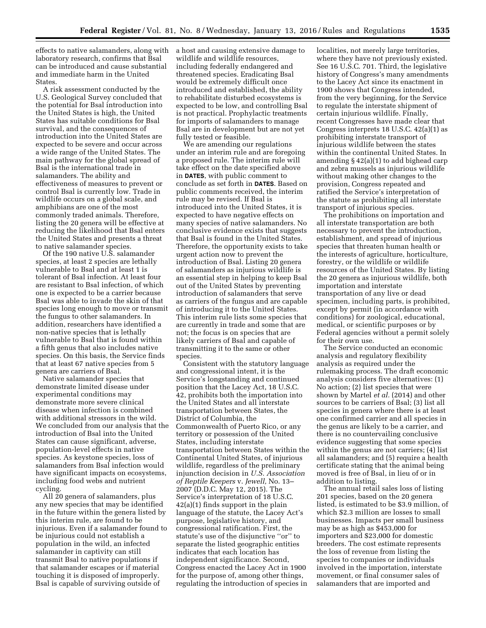effects to native salamanders, along with laboratory research, confirms that Bsal can be introduced and cause substantial and immediate harm in the United States.

A risk assessment conducted by the U.S. Geological Survey concluded that the potential for Bsal introduction into the United States is high, the United States has suitable conditions for Bsal survival, and the consequences of introduction into the United States are expected to be severe and occur across a wide range of the United States. The main pathway for the global spread of Bsal is the international trade in salamanders. The ability and effectiveness of measures to prevent or control Bsal is currently low. Trade in wildlife occurs on a global scale, and amphibians are one of the most commonly traded animals. Therefore, listing the 20 genera will be effective at reducing the likelihood that Bsal enters the United States and presents a threat to native salamander species.

Of the 190 native U.S. salamander species, at least 2 species are lethally vulnerable to Bsal and at least 1 is tolerant of Bsal infection. At least four are resistant to Bsal infection, of which one is expected to be a carrier because Bsal was able to invade the skin of that species long enough to move or transmit the fungus to other salamanders. In addition, researchers have identified a non-native species that is lethally vulnerable to Bsal that is found within a fifth genus that also includes native species. On this basis, the Service finds that at least 67 native species from 5 genera are carriers of Bsal.

Native salamander species that demonstrate limited disease under experimental conditions may demonstrate more severe clinical disease when infection is combined with additional stressors in the wild. We concluded from our analysis that the introduction of Bsal into the United States can cause significant, adverse, population-level effects in native species. As keystone species, loss of salamanders from Bsal infection would have significant impacts on ecosystems, including food webs and nutrient cycling.

All 20 genera of salamanders, plus any new species that may be identified in the future within the genera listed by this interim rule, are found to be injurious. Even if a salamander found to be injurious could not establish a population in the wild, an infected salamander in captivity can still transmit Bsal to native populations if that salamander escapes or if material touching it is disposed of improperly. Bsal is capable of surviving outside of

a host and causing extensive damage to wildlife and wildlife resources, including federally endangered and threatened species. Eradicating Bsal would be extremely difficult once introduced and established, the ability to rehabilitate disturbed ecosystems is expected to be low, and controlling Bsal is not practical. Prophylactic treatments for imports of salamanders to manage Bsal are in development but are not yet fully tested or feasible.

We are amending our regulations under an interim rule and are foregoing a proposed rule. The interim rule will take effect on the date specified above in **DATES**, with public comment to conclude as set forth in **DATES**. Based on public comments received, the interim rule may be revised. If Bsal is introduced into the United States, it is expected to have negative effects on many species of native salamanders. No conclusive evidence exists that suggests that Bsal is found in the United States. Therefore, the opportunity exists to take urgent action now to prevent the introduction of Bsal. Listing 20 genera of salamanders as injurious wildlife is an essential step in helping to keep Bsal out of the United States by preventing introduction of salamanders that serve as carriers of the fungus and are capable of introducing it to the United States. This interim rule lists some species that are currently in trade and some that are not; the focus is on species that are likely carriers of Bsal and capable of transmitting it to the same or other species.

Consistent with the statutory language and congressional intent, it is the Service's longstanding and continued position that the Lacey Act, 18 U.S.C. 42, prohibits both the importation into the United States and all interstate transportation between States, the District of Columbia, the Commonwealth of Puerto Rico, or any territory or possession of the United States, including interstate transportation between States within the Continental United States, of injurious wildlife, regardless of the preliminary injunction decision in *U.S. Association of Reptile Keepers* v. *Jewell,* No. 13– 2007 (D.D.C. May 12, 2015). The Service's interpretation of 18 U.S.C. 42(a)(1) finds support in the plain language of the statute, the Lacey Act's purpose, legislative history, and congressional ratification. First, the statute's use of the disjunctive ''or'' to separate the listed geographic entities indicates that each location has independent significance. Second, Congress enacted the Lacey Act in 1900 for the purpose of, among other things, regulating the introduction of species in

localities, not merely large territories, where they have not previously existed. See 16 U.S.C. 701. Third, the legislative history of Congress's many amendments to the Lacey Act since its enactment in 1900 shows that Congress intended, from the very beginning, for the Service to regulate the interstate shipment of certain injurious wildlife. Finally, recent Congresses have made clear that Congress interprets 18 U.S.C. 42(a)(1) as prohibiting interstate transport of injurious wildlife between the states within the continental United States. In amending § 42(a)(1) to add bighead carp and zebra mussels as injurious wildlife without making other changes to the provision, Congress repeated and ratified the Service's interpretation of the statute as prohibiting all interstate transport of injurious species.

The prohibitions on importation and all interstate transportation are both necessary to prevent the introduction, establishment, and spread of injurious species that threaten human health or the interests of agriculture, horticulture, forestry, or the wildlife or wildlife resources of the United States. By listing the 20 genera as injurious wildlife, both importation and interstate transportation of any live or dead specimen, including parts, is prohibited, except by permit (in accordance with conditions) for zoological, educational, medical, or scientific purposes or by Federal agencies without a permit solely for their own use.

The Service conducted an economic analysis and regulatory flexibility analysis as required under the rulemaking process. The draft economic analysis considers five alternatives: (1) No action; (2) list species that were shown by Martel *et al.* (2014) and other sources to be carriers of Bsal; (3) list all species in genera where there is at least one confirmed carrier and all species in the genus are likely to be a carrier, and there is no countervailing conclusive evidence suggesting that some species within the genus are not carriers; (4) list all salamanders; and (5) require a health certificate stating that the animal being moved is free of Bsal, in lieu of or in addition to listing.

The annual retail sales loss of listing 201 species, based on the 20 genera listed, is estimated to be \$3.9 million, of which \$2.3 million are losses to small businesses. Impacts per small business may be as high as \$453,000 for importers and \$23,000 for domestic breeders. The cost estimate represents the loss of revenue from listing the species to companies or individuals involved in the importation, interstate movement, or final consumer sales of salamanders that are imported and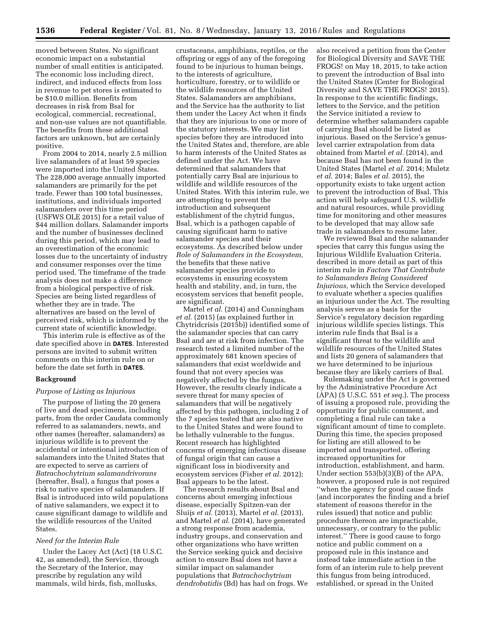moved between States. No significant economic impact on a substantial number of small entities is anticipated. The economic loss including direct, indirect, and induced effects from loss in revenue to pet stores is estimated to be \$10.0 million. Benefits from decreases in risk from Bsal for ecological, commercial, recreational, and non-use values are not quantifiable. The benefits from these additional factors are unknown, but are certainly positive.

From 2004 to 2014, nearly 2.5 million live salamanders of at least 59 species were imported into the United States. The 228,000 average annually imported salamanders are primarily for the pet trade. Fewer than 100 total businesses, institutions, and individuals imported salamanders over this time period (USFWS OLE 2015) for a retail value of \$44 million dollars. Salamander imports and the number of businesses declined during this period, which may lead to an overestimation of the economic losses due to the uncertainty of industry and consumer responses over the time period used. The timeframe of the trade analysis does not make a difference from a biological perspective of risk. Species are being listed regardless of whether they are in trade. The alternatives are based on the level of perceived risk, which is informed by the current state of scientific knowledge.

This interim rule is effective as of the date specified above in **DATES**. Interested persons are invited to submit written comments on this interim rule on or before the date set forth in **DATES**.

# **Background**

## *Purpose of Listing as Injurious*

The purpose of listing the 20 genera of live and dead specimens, including parts, from the order Caudata commonly referred to as salamanders, newts, and other names (hereafter, salamanders) as injurious wildlife is to prevent the accidental or intentional introduction of salamanders into the United States that are expected to serve as carriers of *Batrachochytrium salamandrivorans*  (hereafter, Bsal), a fungus that poses a risk to native species of salamanders. If Bsal is introduced into wild populations of native salamanders, we expect it to cause significant damage to wildlife and the wildlife resources of the United States.

#### *Need for the Interim Rule*

Under the Lacey Act (Act) (18 U.S.C. 42, as amended), the Service, through the Secretary of the Interior, may prescribe by regulation any wild mammals, wild birds, fish, mollusks,

crustaceans, amphibians, reptiles, or the offspring or eggs of any of the foregoing found to be injurious to human beings, to the interests of agriculture, horticulture, forestry, or to wildlife or the wildlife resources of the United States. Salamanders are amphibians, and the Service has the authority to list them under the Lacey Act when it finds that they are injurious to one or more of the statutory interests. We may list species before they are introduced into the United States and, therefore, are able to harm interests of the United States as defined under the Act. We have determined that salamanders that potentially carry Bsal are injurious to wildlife and wildlife resources of the United States. With this interim rule, we are attempting to prevent the introduction and subsequent establishment of the chytrid fungus, Bsal, which is a pathogen capable of causing significant harm to native salamander species and their ecosystems. As described below under *Role of Salamanders in the Ecosystem,*  the benefits that these native salamander species provide to ecosystems in ensuring ecosystem health and stability, and, in turn, the ecosystem services that benefit people, are significant.

Martel *et al.* (2014) and Cunningham *et al.* (2015) (as explained further in Chytridcrisis (2015b)) identified some of the salamander species that can carry Bsal and are at risk from infection. The research tested a limited number of the approximately 681 known species of salamanders that exist worldwide and found that not every species was negatively affected by the fungus. However, the results clearly indicate a severe threat for many species of salamanders that will be negatively affected by this pathogen, including 2 of the 7 species tested that are also native to the United States and were found to be lethally vulnerable to the fungus. Recent research has highlighted concerns of emerging infectious disease of fungal origin that can cause a significant loss in biodiversity and ecosystem services (Fisher *et al.* 2012); Bsal appears to be the latest.

The research results about Bsal and concerns about emerging infectious disease, especially Spitzen-van der Sluijs *et al.* (2013), Martel *et al.* (2013), and Martel *et al.* (2014), have generated a strong response from academia, industry groups, and conservation and other organizations who have written the Service seeking quick and decisive action to ensure Bsal does not have a similar impact on salamander populations that *Batrachochytrium dendrobatidis* (Bd) has had on frogs. We also received a petition from the Center for Biological Diversity and SAVE THE FROGS! on May 18, 2015, to take action to prevent the introduction of Bsal into the United States (Center for Biological Diversity and SAVE THE FROGS! 2015). In response to the scientific findings, letters to the Service, and the petition the Service initiated a review to determine whether salamanders capable of carrying Bsal should be listed as injurious. Based on the Service's genuslevel carrier extrapolation from data obtained from Martel *et al.* (2014), and because Bsal has not been found in the United States (Martel *et al.* 2014; Muletz *et al.* 2014; Bales *et al.* 2015), the opportunity exists to take urgent action to prevent the introduction of Bsal. This action will help safeguard U.S. wildlife and natural resources, while providing time for monitoring and other measures to be developed that may allow safe trade in salamanders to resume later.

We reviewed Bsal and the salamander species that carry this fungus using the Injurious Wildlife Evaluation Criteria, described in more detail as part of this interim rule in *Factors That Contribute to Salamanders Being Considered Injurious,* which the Service developed to evaluate whether a species qualifies as injurious under the Act. The resulting analysis serves as a basis for the Service's regulatory decision regarding injurious wildlife species listings. This interim rule finds that Bsal is a significant threat to the wildlife and wildlife resources of the United States and lists 20 genera of salamanders that we have determined to be injurious because they are likely carriers of Bsal.

Rulemaking under the Act is governed by the Administrative Procedure Act (APA) (5 U.S.C. 551 *et seq.*). The process of issuing a proposed rule, providing the opportunity for public comment, and completing a final rule can take a significant amount of time to complete. During this time, the species proposed for listing are still allowed to be imported and transported, offering increased opportunities for introduction, establishment, and harm. Under section 553(b)(3)(B) of the APA, however, a proposed rule is not required ''when the agency for good cause finds (and incorporates the finding and a brief statement of reasons therefor in the rules issued) that notice and public procedure thereon are impracticable, unnecessary, or contrary to the public interest.'' There is good cause to forgo notice and public comment on a proposed rule in this instance and instead take immediate action in the form of an interim rule to help prevent this fungus from being introduced, established, or spread in the United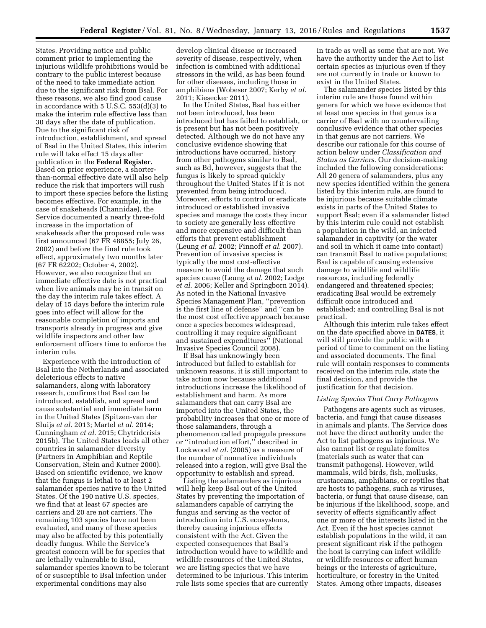States. Providing notice and public comment prior to implementing the injurious wildlife prohibitions would be contrary to the public interest because of the need to take immediate action due to the significant risk from Bsal. For these reasons, we also find good cause in accordance with 5 U.S.C. 553(d)(3) to make the interim rule effective less than 30 days after the date of publication. Due to the significant risk of introduction, establishment, and spread of Bsal in the United States, this interim rule will take effect 15 days after publication in the **Federal Register**. Based on prior experience, a shorterthan-normal effective date will also help reduce the risk that importers will rush to import these species before the listing becomes effective. For example, in the case of snakeheads (Channidae), the Service documented a nearly three-fold increase in the importation of snakeheads after the proposed rule was first announced (67 FR 48855; July 26, 2002) and before the final rule took effect, approximately two months later (67 FR 62202; October 4, 2002). However, we also recognize that an immediate effective date is not practical when live animals may be in transit on the day the interim rule takes effect. A delay of 15 days before the interim rule goes into effect will allow for the reasonable completion of imports and transports already in progress and give wildlife inspectors and other law enforcement officers time to enforce the interim rule.

Experience with the introduction of Bsal into the Netherlands and associated deleterious effects to native salamanders, along with laboratory research, confirms that Bsal can be introduced, establish, and spread and cause substantial and immediate harm in the United States (Spitzen-van der Sluijs *et al.* 2013; Martel *et al.* 2014; Cunningham *et al.* 2015; Chytridcrisis 2015b). The United States leads all other countries in salamander diversity (Partners in Amphibian and Reptile Conservation, Stein and Kutner 2000). Based on scientific evidence, we know that the fungus is lethal to at least 2 salamander species native to the United States. Of the 190 native U.S. species, we find that at least 67 species are carriers and 20 are not carriers. The remaining 103 species have not been evaluated, and many of these species may also be affected by this potentially deadly fungus. While the Service's greatest concern will be for species that are lethally vulnerable to Bsal, salamander species known to be tolerant of or susceptible to Bsal infection under experimental conditions may also

develop clinical disease or increased severity of disease, respectively, when infection is combined with additional stressors in the wild, as has been found for other diseases, including those in amphibians (Wobeser 2007; Kerby *et al.*  2011; Kiesecker 2011).

In the United States, Bsal has either not been introduced, has been introduced but has failed to establish, or is present but has not been positively detected. Although we do not have any conclusive evidence showing that introductions have occurred, history from other pathogens similar to Bsal, such as Bd, however, suggests that the fungus is likely to spread quickly throughout the United States if it is not prevented from being introduced. Moreover, efforts to control or eradicate introduced or established invasive species and manage the costs they incur to society are generally less effective and more expensive and difficult than efforts that prevent establishment (Leung *et al.* 2002; Finnoff *et al.* 2007). Prevention of invasive species is typically the most cost-effective measure to avoid the damage that such species cause (Leung *et al.* 2002; Lodge *et al.* 2006; Keller and Springborn 2014). As noted in the National Invasive Species Management Plan, ''prevention is the first line of defense'' and ''can be the most cost effective approach because once a species becomes widespread, controlling it may require significant and sustained expenditures'' (National Invasive Species Council 2008).

If Bsal has unknowingly been introduced but failed to establish for unknown reasons, it is still important to take action now because additional introductions increase the likelihood of establishment and harm. As more salamanders that can carry Bsal are imported into the United States, the probability increases that one or more of those salamanders, through a phenomenon called propagule pressure or ''introduction effort,'' described in Lockwood *et al.* (2005) as a measure of the number of nonnative individuals released into a region, will give Bsal the opportunity to establish and spread.

Listing the salamanders as injurious will help keep Bsal out of the United States by preventing the importation of salamanders capable of carrying the fungus and serving as the vector of introduction into U.S. ecosystems, thereby causing injurious effects consistent with the Act. Given the expected consequences that Bsal's introduction would have to wildlife and wildlife resources of the United States, we are listing species that we have determined to be injurious. This interim rule lists some species that are currently

in trade as well as some that are not. We have the authority under the Act to list certain species as injurious even if they are not currently in trade or known to exist in the United States.

The salamander species listed by this interim rule are those found within genera for which we have evidence that at least one species in that genus is a carrier of Bsal with no countervailing conclusive evidence that other species in that genus are not carriers. We describe our rationale for this course of action below under *Classification and Status as Carriers.* Our decision-making included the following considerations: All 20 genera of salamanders, plus any new species identified within the genera listed by this interim rule, are found to be injurious because suitable climate exists in parts of the United States to support Bsal; even if a salamander listed by this interim rule could not establish a population in the wild, an infected salamander in captivity (or the water and soil in which it came into contact) can transmit Bsal to native populations; Bsal is capable of causing extensive damage to wildlife and wildlife resources, including federally endangered and threatened species; eradicating Bsal would be extremely difficult once introduced and established; and controlling Bsal is not practical.

Although this interim rule takes effect on the date specified above in **DATES**, it will still provide the public with a period of time to comment on the listing and associated documents. The final rule will contain responses to comments received on the interim rule, state the final decision, and provide the justification for that decision.

#### *Listing Species That Carry Pathogens*

Pathogens are agents such as viruses, bacteria, and fungi that cause diseases in animals and plants. The Service does not have the direct authority under the Act to list pathogens as injurious. We also cannot list or regulate fomites (materials such as water that can transmit pathogens). However, wild mammals, wild birds, fish, mollusks, crustaceans, amphibians, or reptiles that are hosts to pathogens, such as viruses, bacteria, or fungi that cause disease, can be injurious if the likelihood, scope, and severity of effects significantly affect one or more of the interests listed in the Act. Even if the host species cannot establish populations in the wild, it can present significant risk if the pathogen the host is carrying can infect wildlife or wildlife resources or affect human beings or the interests of agriculture, horticulture, or forestry in the United States. Among other impacts, diseases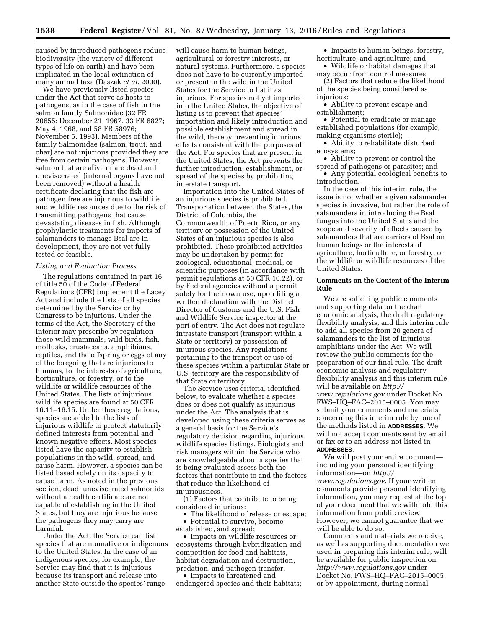caused by introduced pathogens reduce biodiversity (the variety of different types of life on earth) and have been implicated in the local extinction of many animal taxa (Daszak *et al.* 2000).

We have previously listed species under the Act that serve as hosts to pathogens, as in the case of fish in the salmon family Salmonidae (32 FR 20655; December 21, 1967, 33 FR 6827; May 4, 1968, and 58 FR 58976; November 5, 1993). Members of the family Salmonidae (salmon, trout, and char) are not injurious provided they are free from certain pathogens. However, salmon that are alive or are dead and uneviscerated (internal organs have not been removed) without a health certificate declaring that the fish are pathogen free are injurious to wildlife and wildlife resources due to the risk of transmitting pathogens that cause devastating diseases in fish. Although prophylactic treatments for imports of salamanders to manage Bsal are in development, they are not yet fully tested or feasible.

### *Listing and Evaluation Process*

The regulations contained in part 16 of title 50 of the Code of Federal Regulations (CFR) implement the Lacey Act and include the lists of all species determined by the Service or by Congress to be injurious. Under the terms of the Act, the Secretary of the Interior may prescribe by regulation those wild mammals, wild birds, fish, mollusks, crustaceans, amphibians, reptiles, and the offspring or eggs of any of the foregoing that are injurious to humans, to the interests of agriculture, horticulture, or forestry, or to the wildlife or wildlife resources of the United States. The lists of injurious wildlife species are found at 50 CFR 16.11–16.15. Under these regulations, species are added to the lists of injurious wildlife to protect statutorily defined interests from potential and known negative effects. Most species listed have the capacity to establish populations in the wild, spread, and cause harm. However, a species can be listed based solely on its capacity to cause harm. As noted in the previous section, dead, uneviscerated salmonids without a health certificate are not capable of establishing in the United States, but they are injurious because the pathogens they may carry are harmful.

Under the Act, the Service can list species that are nonnative or indigenous to the United States. In the case of an indigenous species, for example, the Service may find that it is injurious because its transport and release into another State outside the species' range

will cause harm to human beings, agricultural or forestry interests, or natural systems. Furthermore, a species does not have to be currently imported or present in the wild in the United States for the Service to list it as injurious. For species not yet imported into the United States, the objective of listing is to prevent that species' importation and likely introduction and possible establishment and spread in the wild, thereby preventing injurious effects consistent with the purposes of the Act. For species that are present in the United States, the Act prevents the further introduction, establishment, or spread of the species by prohibiting interstate transport.

Importation into the United States of an injurious species is prohibited. Transportation between the States, the District of Columbia, the Commonwealth of Puerto Rico, or any territory or possession of the United States of an injurious species is also prohibited. These prohibited activities may be undertaken by permit for zoological, educational, medical, or scientific purposes (in accordance with permit regulations at 50 CFR 16.22), or by Federal agencies without a permit solely for their own use, upon filing a written declaration with the District Director of Customs and the U.S. Fish and Wildlife Service inspector at the port of entry. The Act does not regulate intrastate transport (transport within a State or territory) or possession of injurious species. Any regulations pertaining to the transport or use of these species within a particular State or U.S. territory are the responsibility of that State or territory.

The Service uses criteria, identified below, to evaluate whether a species does or does not qualify as injurious under the Act. The analysis that is developed using these criteria serves as a general basis for the Service's regulatory decision regarding injurious wildlife species listings. Biologists and risk managers within the Service who are knowledgeable about a species that is being evaluated assess both the factors that contribute to and the factors that reduce the likelihood of injuriousness.

(1) Factors that contribute to being considered injurious:

• The likelihood of release or escape; • Potential to survive, become

established, and spread;

• Impacts on wildlife resources or ecosystems through hybridization and competition for food and habitats, habitat degradation and destruction, predation, and pathogen transfer;

• Impacts to threatened and endangered species and their habitats;

• Impacts to human beings, forestry, horticulture, and agriculture; and

• Wildlife or habitat damages that may occur from control measures.

(2) Factors that reduce the likelihood of the species being considered as injurious:

• Ability to prevent escape and establishment;

• Potential to eradicate or manage established populations (for example, making organisms sterile);

• Ability to rehabilitate disturbed ecosystems;

• Ability to prevent or control the spread of pathogens or parasites; and • Any potential ecological benefits to

introduction.

In the case of this interim rule, the issue is not whether a given salamander species is invasive, but rather the role of salamanders in introducing the Bsal fungus into the United States and the scope and severity of effects caused by salamanders that are carriers of Bsal on human beings or the interests of agriculture, horticulture, or forestry, or the wildlife or wildlife resources of the United States.

## **Comments on the Content of the Interim Rule**

We are soliciting public comments and supporting data on the draft economic analysis, the draft regulatory flexibility analysis, and this interim rule to add all species from 20 genera of salamanders to the list of injurious amphibians under the Act. We will review the public comments for the preparation of our final rule. The draft economic analysis and regulatory flexibility analysis and this interim rule will be available on *[http://](http://www.regulations.gov) [www.regulations.gov](http://www.regulations.gov)* under Docket No. FWS–HQ–FAC–2015–0005. You may submit your comments and materials concerning this interim rule by one of the methods listed in **ADDRESSES**. We will not accept comments sent by email or fax or to an address not listed in **ADDRESSES**.

We will post your entire comment including your personal identifying information—on *[http://](http://www.regulations.gov) [www.regulations.gov](http://www.regulations.gov)*. If your written comments provide personal identifying information, you may request at the top of your document that we withhold this information from public review. However, we cannot guarantee that we will be able to do so.

Comments and materials we receive, as well as supporting documentation we used in preparing this interim rule, will be available for public inspection on *<http://www.regulations.gov>* under Docket No. FWS–HQ–FAC–2015–0005, or by appointment, during normal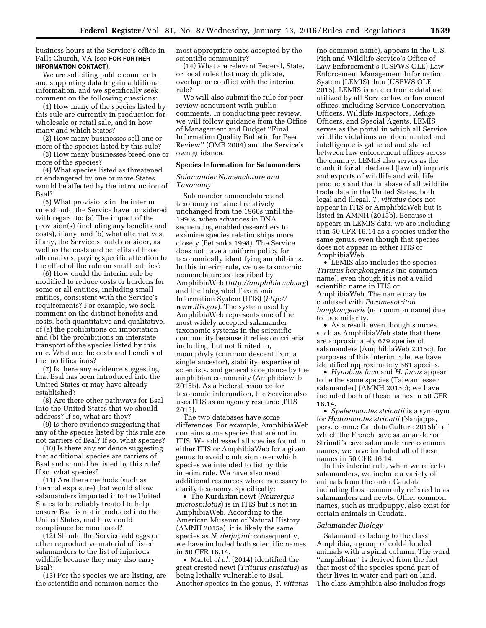business hours at the Service's office in Falls Church, VA (see **FOR FURTHER INFORMATION CONTACT**).

We are soliciting public comments and supporting data to gain additional information, and we specifically seek comment on the following questions:

(1) How many of the species listed by this rule are currently in production for wholesale or retail sale, and in how many and which States?

(2) How many businesses sell one or more of the species listed by this rule?

(3) How many businesses breed one or more of the species?

(4) What species listed as threatened or endangered by one or more States would be affected by the introduction of Bsal?

(5) What provisions in the interim rule should the Service have considered with regard to: (a) The impact of the provision(s) (including any benefits and costs), if any, and (b) what alternatives, if any, the Service should consider, as well as the costs and benefits of those alternatives, paying specific attention to the effect of the rule on small entities?

(6) How could the interim rule be modified to reduce costs or burdens for some or all entities, including small entities, consistent with the Service's requirements? For example, we seek comment on the distinct benefits and costs, both quantitative and qualitative, of (a) the prohibitions on importation and (b) the prohibitions on interstate transport of the species listed by this rule. What are the costs and benefits of the modifications?

(7) Is there any evidence suggesting that Bsal has been introduced into the United States or may have already established?

(8) Are there other pathways for Bsal into the United States that we should address? If so, what are they?

(9) Is there evidence suggesting that any of the species listed by this rule are not carriers of Bsal? If so, what species?

(10) Is there any evidence suggesting that additional species are carriers of Bsal and should be listed by this rule? If so, what species?

(11) Are there methods (such as thermal exposure) that would allow salamanders imported into the United States to be reliably treated to help ensure Bsal is not introduced into the United States, and how could compliance be monitored?

(12) Should the Service add eggs or other reproductive material of listed salamanders to the list of injurious wildlife because they may also carry Bsal?

(13) For the species we are listing, are the scientific and common names the

most appropriate ones accepted by the scientific community?

(14) What are relevant Federal, State, or local rules that may duplicate, overlap, or conflict with the interim rule?

We will also submit the rule for peer review concurrent with public comments. In conducting peer review, we will follow guidance from the Office of Management and Budget ''Final Information Quality Bulletin for Peer Review'' (OMB 2004) and the Service's own guidance.

### **Species Information for Salamanders**

# *Salamander Nomenclature and Taxonomy*

Salamander nomenclature and taxonomy remained relatively unchanged from the 1960s until the 1990s, when advances in DNA sequencing enabled researchers to examine species relationships more closely (Petranka 1998). The Service does not have a uniform policy for taxonomically identifying amphibians. In this interim rule, we use taxonomic nomenclature as described by AmphibiaWeb (*<http://amphibiaweb.org>*) and the Integrated Taxonomic Information System (ITIS) (*[http://](http://www.itis.gov) [www.itis.gov](http://www.itis.gov)*). The system used by AmphibiaWeb represents one of the most widely accepted salamander taxonomic systems in the scientific community because it relies on criteria including, but not limited to, monophyly (common descent from a single ancestor), stability, expertise of scientists, and general acceptance by the amphibian community (Amphibiaweb 2015b). As a Federal resource for taxonomic information, the Service also uses ITIS as an agency resource (ITIS 2015).

The two databases have some differences. For example, AmphibiaWeb contains some species that are not in ITIS. We addressed all species found in either ITIS or AmphibiaWeb for a given genus to avoid confusion over which species we intended to list by this interim rule. We have also used additional resources where necessary to clarify taxonomy, specifically:

• The Kurdistan newt (*Neurergus microspilotus*) is in ITIS but is not in AmphibiaWeb. According to the American Museum of Natural History (AMNH 2015a), it is likely the same species as *N. derjugini;* consequently, we have included both scientific names in 50 CFR 16.14.

• Martel *et al.* (2014) identified the great crested newt (*Triturus cristatus*) as being lethally vulnerable to Bsal. Another species in the genus, *T. vittatus* 

(no common name), appears in the U.S. Fish and Wildlife Service's Office of Law Enforcement's (USFWS OLE) Law Enforcement Management Information System (LEMIS) data (USFWS OLE 2015). LEMIS is an electronic database utilized by all Service law enforcement offices, including Service Conservation Officers, Wildlife Inspectors, Refuge Officers, and Special Agents. LEMIS serves as the portal in which all Service wildlife violations are documented and intelligence is gathered and shared between law enforcement offices across the country. LEMIS also serves as the conduit for all declared (lawful) imports and exports of wildlife and wildlife products and the database of all wildlife trade data in the United States, both legal and illegal. *T. vittatus* does not appear in ITIS or AmphibiaWeb but is listed in AMNH (2015b). Because it appears in LEMIS data, we are including it in 50 CFR 16.14 as a species under the same genus, even though that species does not appear in either ITIS or AmphibiaWeb.

• LEMIS also includes the species *Triturus hongkongensis* (no common name), even though it is not a valid scientific name in ITIS or AmphibiaWeb. The name may be confused with *Paramesotriton hongkongensis* (no common name) due to its similarity.

• As a result, even though sources such as AmphibiaWeb state that there are approximately 679 species of salamanders (AmphibiaWeb 2015c), for purposes of this interim rule, we have identified approximately 681 species.

• *Hynobius fuca* and *H. fucus* appear to be the same species (Taiwan lesser salamander) (AMNH 2015c); we have included both of these names in 50 CFR 16.14.

• *Speleomantes strinatii* is a synonym for *Hydromantes strinatii* (Nanjappa, pers. comm.; Caudata Culture 2015b), of which the French cave salamander or Strinati's cave salamander are common names; we have included all of these names in 50 CFR 16.14.

In this interim rule, when we refer to salamanders, we include a variety of animals from the order Caudata, including those commonly referred to as salamanders and newts. Other common names, such as mudpuppy, also exist for certain animals in Caudata.

#### *Salamander Biology*

Salamanders belong to the class Amphibia, a group of cold-blooded animals with a spinal column. The word ''amphibian'' is derived from the fact that most of the species spend part of their lives in water and part on land. The class Amphibia also includes frogs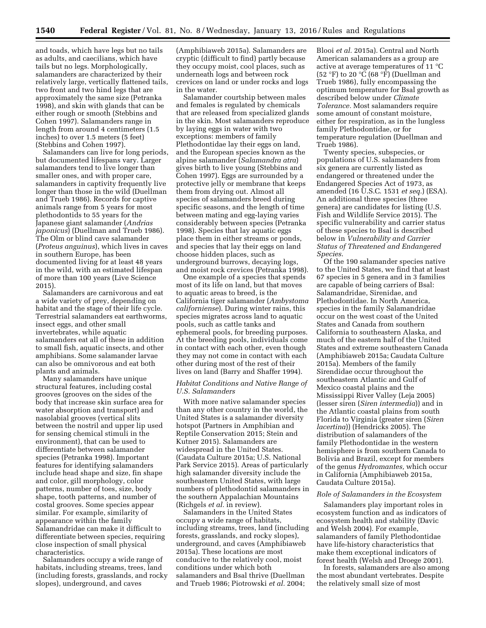and toads, which have legs but no tails as adults, and caecilians, which have tails but no legs. Morphologically, salamanders are characterized by their relatively large, vertically flattened tails, two front and two hind legs that are approximately the same size (Petranka 1998), and skin with glands that can be either rough or smooth (Stebbins and Cohen 1997). Salamanders range in length from around 4 centimeters (1.5 inches) to over 1.5 meters (5 feet) (Stebbins and Cohen 1997).

Salamanders can live for long periods, but documented lifespans vary. Larger salamanders tend to live longer than smaller ones, and with proper care, salamanders in captivity frequently live longer than those in the wild (Duellman and Trueb 1986). Records for captive animals range from 5 years for most plethodontids to 55 years for the Japanese giant salamander (*Andrias japonicus*) (Duellman and Trueb 1986). The Olm or blind cave salamander (*Proteus anguinus*), which lives in caves in southern Europe, has been documented living for at least 48 years in the wild, with an estimated lifespan of more than 100 years (Live Science 2015).

Salamanders are carnivorous and eat a wide variety of prey, depending on habitat and the stage of their life cycle. Terrestrial salamanders eat earthworms, insect eggs, and other small invertebrates, while aquatic salamanders eat all of these in addition to small fish, aquatic insects, and other amphibians. Some salamander larvae can also be omnivorous and eat both plants and animals.

Many salamanders have unique structural features, including costal grooves (grooves on the sides of the body that increase skin surface area for water absorption and transport) and nasolabial grooves (vertical slits between the nostril and upper lip used for sensing chemical stimuli in the environment), that can be used to differentiate between salamander species (Petranka 1998). Important features for identifying salamanders include head shape and size, fin shape and color, gill morphology, color patterns, number of toes, size, body shape, tooth patterns, and number of costal grooves. Some species appear similar. For example, similarity of appearance within the family Salamandridae can make it difficult to differentiate between species, requiring close inspection of small physical characteristics.

Salamanders occupy a wide range of habitats, including streams, trees, land (including forests, grasslands, and rocky slopes), underground, and caves

(Amphibiaweb 2015a). Salamanders are cryptic (difficult to find) partly because they occupy moist, cool places, such as underneath logs and between rock crevices on land or under rocks and logs in the water.

Salamander courtship between males and females is regulated by chemicals that are released from specialized glands in the skin. Most salamanders reproduce by laying eggs in water with two exceptions: members of family Plethodontidae lay their eggs on land, and the European species known as the alpine salamander (*Salamandra atra*) gives birth to live young (Stebbins and Cohen 1997). Eggs are surrounded by a protective jelly or membrane that keeps them from drying out. Almost all species of salamanders breed during specific seasons, and the length of time between mating and egg-laying varies considerably between species (Petranka 1998). Species that lay aquatic eggs place them in either streams or ponds, and species that lay their eggs on land choose hidden places, such as underground burrows, decaying logs, and moist rock crevices (Petranka 1998).

One example of a species that spends most of its life on land, but that moves to aquatic areas to breed, is the California tiger salamander (*Ambystoma californiense*). During winter rains, this species migrates across land to aquatic pools, such as cattle tanks and ephemeral pools, for breeding purposes. At the breeding pools, individuals come in contact with each other, even though they may not come in contact with each other during most of the rest of their lives on land (Barry and Shaffer 1994).

## *Habitat Conditions and Native Range of U.S. Salamanders*

With more native salamander species than any other country in the world, the United States is a salamander diversity hotspot (Partners in Amphibian and Reptile Conservation 2015; Stein and Kutner 2015). Salamanders are widespread in the United States. (Caudata Culture 2015a; U.S. National Park Service 2015). Areas of particularly high salamander diversity include the southeastern United States, with large numbers of plethodontid salamanders in the southern Appalachian Mountains (Richgels *et al.* in review).

Salamanders in the United States occupy a wide range of habitats, including streams, trees, land (including forests, grasslands, and rocky slopes), underground, and caves (Amphibiaweb 2015a). These locations are most conducive to the relatively cool, moist conditions under which both salamanders and Bsal thrive (Duellman and Trueb 1986; Piotrowski *et al.* 2004;

Blooi *et al.* 2015a). Central and North American salamanders as a group are active at average temperatures of 11 °C (52 °F) to 20 °C (68 °F) (Duellman and Trueb 1986), fully encompassing the optimum temperature for Bsal growth as described below under *Climate Tolerance.* Most salamanders require some amount of constant moisture, either for respiration, as in the lungless family Plethodontidae, or for temperature regulation (Duellman and Trueb 1986).

Twenty species, subspecies, or populations of U.S. salamanders from six genera are currently listed as endangered or threatened under the Endangered Species Act of 1973, as amended (16 U.S.C. 1531 *et seq.*) (ESA). An additional three species (three genera) are candidates for listing (U.S. Fish and Wildlife Service 2015). The specific vulnerability and carrier status of these species to Bsal is described below in *Vulnerability and Carrier Status of Threatened and Endangered Species*.

Of the 190 salamander species native to the United States, we find that at least 67 species in 5 genera and in 3 families are capable of being carriers of Bsal: Salamandridae, Sirenidae, and Plethodontidae. In North America, species in the family Salamandridae occur on the west coast of the United States and Canada from southern California to southeastern Alaska, and much of the eastern half of the United States and extreme southeastern Canada (Amphibiaweb 2015a; Caudata Culture 2015a). Members of the family Sirendidae occur throughout the southeastern Atlantic and Gulf of Mexico coastal plains and the Mississippi River Valley (Leja 2005) (lesser siren (*Siren intermedia*)) and in the Atlantic coastal plains from south Florida to Virginia (greater siren (*Siren lacertina*)) (Hendricks 2005). The distribution of salamanders of the family Plethodontidae in the western hemisphere is from southern Canada to Bolivia and Brazil, except for members of the genus *Hydromantes,* which occur in California (Amphibiaweb 2015a, Caudata Culture 2015a).

#### *Role of Salamanders in the Ecosystem*

Salamanders play important roles in ecosystem function and as indicators of ecosystem health and stability (Davic and Welsh 2004). For example, salamanders of family Plethodontidae have life-history characteristics that make them exceptional indicators of forest health (Welsh and Droege 2001).

In forests, salamanders are also among the most abundant vertebrates. Despite the relatively small size of most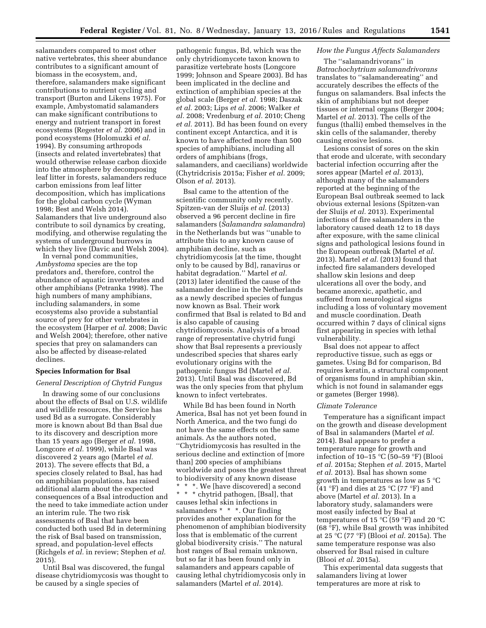salamanders compared to most other native vertebrates, this sheer abundance contributes to a significant amount of biomass in the ecosystem, and, therefore, salamanders make significant contributions to nutrient cycling and transport (Burton and Likens 1975). For example, Ambystomatid salamanders can make significant contributions to energy and nutrient transport in forest ecosystems (Regester *et al.* 2006) and in pond ecosystems (Holomuzki *et al.*  1994). By consuming arthropods (insects and related invertebrates) that would otherwise release carbon dioxide into the atmosphere by decomposing leaf litter in forests, salamanders reduce carbon emissions from leaf litter decomposition, which has implications for the global carbon cycle (Wyman 1998; Best and Welsh 2014). Salamanders that live underground also contribute to soil dynamics by creating, modifying, and otherwise regulating the systems of underground burrows in which they live (Davic and Welsh 2004).

In vernal pond communities, *Ambystoma* species are the top predators and, therefore, control the abundance of aquatic invertebrates and other amphibians (Petranka 1998). The high numbers of many amphibians, including salamanders, in some ecosystems also provide a substantial source of prey for other vertebrates in the ecosystem (Harper *et al.* 2008; Davic and Welsh 2004); therefore, other native species that prey on salamanders can also be affected by disease-related declines.

## **Species Information for Bsal**

### *General Description of Chytrid Fungus*

In drawing some of our conclusions about the effects of Bsal on U.S. wildlife and wildlife resources, the Service has used Bd as a surrogate. Considerably more is known about Bd than Bsal due to its discovery and description more than 15 years ago (Berger *et al.* 1998, Longcore *et al.* 1999), while Bsal was discovered 2 years ago (Martel *et al.*  2013). The severe effects that Bd, a species closely related to Bsal, has had on amphibian populations, has raised additional alarm about the expected consequences of a Bsal introduction and the need to take immediate action under an interim rule. The two risk assessments of Bsal that have been conducted both used Bd in determining the risk of Bsal based on transmission, spread, and population-level effects (Richgels *et al.* in review; Stephen *et al.*  2015).

Until Bsal was discovered, the fungal disease chytridiomycosis was thought to be caused by a single species of

pathogenic fungus, Bd, which was the only chytridiomycete taxon known to parasitize vertebrate hosts (Longcore 1999; Johnson and Speare 2003). Bd has been implicated in the decline and extinction of amphibian species at the global scale (Berger *et al.* 1998; Daszak *et al.* 2003; Lips *et al.* 2006; Walker *et al.* 2008; Vredenburg *et al.* 2010; Cheng *et al.* 2011). Bd has been found on every continent except Antarctica, and it is known to have affected more than 500 species of amphibians, including all orders of amphibians (frogs, salamanders, and caecilians) worldwide (Chytridcrisis 2015a; Fisher *et al.* 2009; Olson *et al.* 2013).

Bsal came to the attention of the scientific community only recently. Spitzen-van der Sluijs *et al.* (2013) observed a 96 percent decline in fire salamanders (*Salamandra salamandra*) in the Netherlands but was ''unable to attribute this to any known cause of amphibian decline, such as chytridiomycosis [at the time, thought only to be caused by Bd], ranavirus or habitat degradation.'' Martel *et al.*  (2013) later identified the cause of the salamander decline in the Netherlands as a newly described species of fungus now known as Bsal. Their work confirmed that Bsal is related to Bd and is also capable of causing chytridiomycosis. Analysis of a broad range of representative chytrid fungi show that Bsal represents a previously undescribed species that shares early evolutionary origins with the pathogenic fungus Bd (Martel *et al.*  2013). Until Bsal was discovered, Bd was the only species from that phylum known to infect vertebrates.

While Bd has been found in North America, Bsal has not yet been found in North America, and the two fungi do not have the same effects on the same animals. As the authors noted, ''Chytridiomycosis has resulted in the serious decline and extinction of [more than] 200 species of amphibians worldwide and poses the greatest threat to biodiversity of any known disease \* \* \*. We [have discovered] a second \* \* \* chytrid pathogen, [Bsal], that causes lethal skin infections in salamanders \* \* \*. Our finding provides another explanation for the phenomenon of amphibian biodiversity loss that is emblematic of the current global biodiversity crisis.'' The natural host ranges of Bsal remain unknown, but so far it has been found only in salamanders and appears capable of causing lethal chytridiomycosis only in

salamanders (Martel *et al.* 2014).

#### *How the Fungus Affects Salamanders*

The ''salamandrivorans'' in *Batrachochytrium salamandrivorans*  translates to ''salamandereating'' and accurately describes the effects of the fungus on salamanders. Bsal infects the skin of amphibians but not deeper tissues or internal organs (Berger 2004; Martel *et al.* 2013). The cells of the fungus (thalli) embed themselves in the skin cells of the salamander, thereby causing erosive lesions.

Lesions consist of sores on the skin that erode and ulcerate, with secondary bacterial infection occurring after the sores appear (Martel *et al.* 2013), although many of the salamanders reported at the beginning of the European Bsal outbreak seemed to lack obvious external lesions (Spitzen-van der Sluijs *et al.* 2013). Experimental infections of fire salamanders in the laboratory caused death 12 to 18 days after exposure, with the same clinical signs and pathological lesions found in the European outbreak (Martel *et al.*  2013). Martel *et al.* (2013) found that infected fire salamanders developed shallow skin lesions and deep ulcerations all over the body, and became anorexic, apathetic, and suffered from neurological signs including a loss of voluntary movement and muscle coordination. Death occurred within 7 days of clinical signs first appearing in species with lethal vulnerability.

Bsal does not appear to affect reproductive tissue, such as eggs or gametes. Using Bd for comparison, Bd requires keratin, a structural component of organisms found in amphibian skin, which is not found in salamander eggs or gametes (Berger 1998).

#### *Climate Tolerance*

Temperature has a significant impact on the growth and disease development of Bsal in salamanders (Martel *et al.*  2014). Bsal appears to prefer a temperature range for growth and infection of 10–15 °C (50–59 °F) (Blooi *et al.* 2015a; Stephen *et al.* 2015, Martel *et al.* 2013). Bsal has shown some growth in temperatures as low as 5 °C (41 °F) and dies at 25 °C (77 °F) and above (Martel *et al.* 2013). In a laboratory study, salamanders were most easily infected by Bsal at temperatures of 15 °C (59 °F) and 20 °C (68 °F), while Bsal growth was inhibited at 25 °C (77 °F) (Blooi *et al.* 2015a). The same temperature response was also observed for Bsal raised in culture (Blooi *et al.* 2015a).

This experimental data suggests that salamanders living at lower temperatures are more at risk to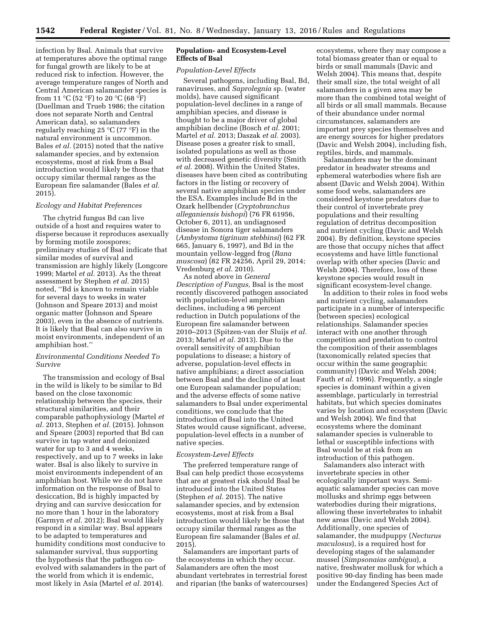infection by Bsal. Animals that survive at temperatures above the optimal range for fungal growth are likely to be at reduced risk to infection. However, the average temperature ranges of North and Central American salamander species is from 11  $\mathrm{C}$  (52  $\mathrm{F}$ ) to 20  $\mathrm{C}$  (68  $\mathrm{F}$ ) (Duellman and Trueb 1986; the citation does not separate North and Central American data), so salamanders regularly reaching 25  $^{\circ}$ C (77  $^{\circ}$ F) in the natural environment is uncommon. Bales *et al.* (2015) noted that the native salamander species, and by extension ecosystems, most at risk from a Bsal introduction would likely be those that occupy similar thermal ranges as the European fire salamander (Bales *et al.*  2015).

## *Ecology and Habitat Preferences*

The chytrid fungus Bd can live outside of a host and requires water to disperse because it reproduces asexually by forming motile zoospores; preliminary studies of Bsal indicate that similar modes of survival and transmission are highly likely (Longcore 1999; Martel *et al.* 2013). As the threat assessment by Stephen *et al.* 2015) noted, ''Bd is known to remain viable for several days to weeks in water (Johnson and Speare 2013) and moist organic matter (Johnson and Speare 2003), even in the absence of nutrients. It is likely that Bsal can also survive in moist environments, independent of an amphibian host.''

## *Environmental Conditions Needed To Survive*

The transmission and ecology of Bsal in the wild is likely to be similar to Bd based on the close taxonomic relationship between the species, their structural similarities, and their comparable pathophysiology (Martel *et al.* 2013, Stephen *et al.* (2015). Johnson and Speare (2003) reported that Bd can survive in tap water and deionized water for up to 3 and 4 weeks, respectively, and up to 7 weeks in lake water. Bsal is also likely to survive in moist environments independent of an amphibian host. While we do not have information on the response of Bsal to desiccation, Bd is highly impacted by drying and can survive desiccation for no more than 1 hour in the laboratory (Garmyn *et al.* 2012); Bsal would likely respond in a similar way. Bsal appears to be adapted to temperatures and humidity conditions most conducive to salamander survival, thus supporting the hypothesis that the pathogen coevolved with salamanders in the part of the world from which it is endemic, most likely in Asia (Martel *et al.* 2014).

## **Population- and Ecosystem-Level Effects of Bsal**

#### *Population-Level Effects*

Several pathogens, including Bsal, Bd, ranaviruses, and *Saprolegnia* sp. (water molds), have caused significant population-level declines in a range of amphibian species, and disease is thought to be a major driver of global amphibian decline (Bosch *et al.* 2001; Martel *et al.* 2013; Daszak *et al.* 2003). Disease poses a greater risk to small, isolated populations as well as those with decreased genetic diversity (Smith *et al.* 2008). Within the United States, diseases have been cited as contributing factors in the listing or recovery of several native amphibian species under the ESA. Examples include Bd in the Ozark hellbender (*Cryptobranchus alleganiensis bishopi*) (76 FR 61956, October 6, 2011), an undiagnosed disease in Sonora tiger salamanders (*Ambystoma tigrinum stebbinsi*) (62 FR 665, January 6, 1997), and Bd in the mountain yellow-legged frog (*Rana muscosa*) (82 FR 24256, April 29, 2014; Vredenburg *et al.* 2010).

As noted above in *General Description of Fungus,* Bsal is the most recently discovered pathogen associated with population-level amphibian declines, including a 96 percent reduction in Dutch populations of the European fire salamander between 2010–2013 (Spitzen-van der Sluijs *et al.*  2013; Martel *et al.* 2013). Due to the overall sensitivity of amphibian populations to disease; a history of adverse, population-level effects in native amphibians; a direct association between Bsal and the decline of at least one European salamander population; and the adverse effects of some native salamanders to Bsal under experimental conditions, we conclude that the introduction of Bsal into the United States would cause significant, adverse, population-level effects in a number of native species.

#### *Ecosystem-Level Effects*

The preferred temperature range of Bsal can help predict those ecosystems that are at greatest risk should Bsal be introduced into the United States (Stephen *et al.* 2015). The native salamander species, and by extension ecosystems, most at risk from a Bsal introduction would likely be those that occupy similar thermal ranges as the European fire salamander (Bales *et al.*  2015).

Salamanders are important parts of the ecosystems in which they occur. Salamanders are often the most abundant vertebrates in terrestrial forest and riparian (the banks of watercourses)

ecosystems, where they may compose a total biomass greater than or equal to birds or small mammals (Davic and Welsh 2004). This means that, despite their small size, the total weight of all salamanders in a given area may be more than the combined total weight of all birds or all small mammals. Because of their abundance under normal circumstances, salamanders are important prey species themselves and are energy sources for higher predators (Davic and Welsh 2004), including fish, reptiles, birds, and mammals.

Salamanders may be the dominant predator in headwater streams and ephemeral waterbodies where fish are absent (Davic and Welsh 2004). Within some food webs, salamanders are considered keystone predators due to their control of invertebrate prey populations and their resulting regulation of detritus decomposition and nutrient cycling (Davic and Welsh 2004). By definition, keystone species are those that occupy niches that affect ecosystems and have little functional overlap with other species (Davic and Welsh 2004). Therefore, loss of these keystone species would result in significant ecosystem-level change.

In addition to their roles in food webs and nutrient cycling, salamanders participate in a number of interspecific (between species) ecological relationships. Salamander species interact with one another through competition and predation to control the composition of their assemblages (taxonomically related species that occur within the same geographic community) (Davic and Welsh 2004; Fauth *et al.* 1996). Frequently, a single species is dominant within a given assemblage, particularly in terrestrial habitats, but which species dominates varies by location and ecosystem (Davic and Welsh 2004). We find that ecosystems where the dominant salamander species is vulnerable to lethal or susceptible infections with Bsal would be at risk from an introduction of this pathogen.

Salamanders also interact with invertebrate species in other ecologically important ways. Semiaquatic salamander species can move mollusks and shrimp eggs between waterbodies during their migrations, allowing these invertebrates to inhabit new areas (Davic and Welsh 2004). Additionally, one species of salamander, the mudpuppy (*Necturus maculosus*), is a required host for developing stages of the salamander mussel (*Simpsonaias ambigua*), a native, freshwater mollusk for which a positive 90-day finding has been made under the Endangered Species Act of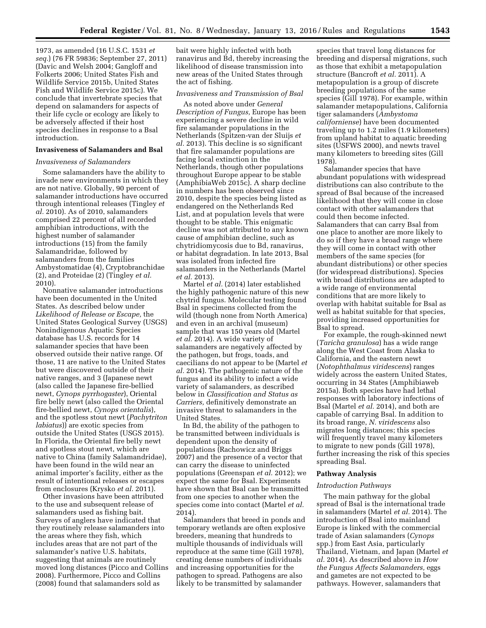1973, as amended (16 U.S.C. 1531 *et seq.*) (76 FR 59836; September 27, 2011) (Davic and Welsh 2004; Gangloff and Folkerts 2006; United States Fish and Wildlife Service 2015b, United States Fish and Wildlife Service 2015c). We conclude that invertebrate species that depend on salamanders for aspects of their life cycle or ecology are likely to be adversely affected if their host species declines in response to a Bsal introduction.

#### **Invasiveness of Salamanders and Bsal**

# *Invasiveness of Salamanders*

Some salamanders have the ability to invade new environments in which they are not native. Globally, 90 percent of salamander introductions have occurred through intentional releases (Tingley *et al.* 2010). As of 2010, salamanders comprised 22 percent of all recorded amphibian introductions, with the highest number of salamander introductions (15) from the family Salamandridae, followed by salamanders from the families Ambystomatidae (4), Cryptobranchidae (2), and Proteidae (2) (Tingley *et al.*  2010).

Nonnative salamander introductions have been documented in the United States. As described below under *Likelihood of Release or Escape,* the United States Geological Survey (USGS) Nonindigenous Aquatic Species database has U.S. records for 14 salamander species that have been observed outside their native range. Of those, 11 are native to the United States but were discovered outside of their native ranges, and 3 (Japanese newt (also called the Japanese fire-bellied newt, *Cynops pyrrhogaster*), Oriental fire belly newt (also called the Oriental fire-bellied newt, *Cynops orientalis*), and the spotless stout newt (*Pachytriton labiatus*)) are exotic species from outside the United States (USGS 2015). In Florida, the Oriental fire belly newt and spotless stout newt, which are native to China (family Salamandridae), have been found in the wild near an animal importer's facility, either as the result of intentional releases or escapes from enclosures (Krysko *et al.* 2011).

Other invasions have been attributed to the use and subsequent release of salamanders used as fishing bait. Surveys of anglers have indicated that they routinely release salamanders into the areas where they fish, which includes areas that are not part of the salamander's native U.S. habitats, suggesting that animals are routinely moved long distances (Picco and Collins 2008). Furthermore, Picco and Collins (2008) found that salamanders sold as

bait were highly infected with both ranavirus and Bd, thereby increasing the likelihood of disease transmission into new areas of the United States through the act of fishing.

# *Invasiveness and Transmission of Bsal*

As noted above under *General Description of Fungus,* Europe has been experiencing a severe decline in wild fire salamander populations in the Netherlands (Spitzen-van der Sluijs *et al.* 2013). This decline is so significant that fire salamander populations are facing local extinction in the Netherlands, though other populations throughout Europe appear to be stable (AmphibiaWeb 2015c). A sharp decline in numbers has been observed since 2010, despite the species being listed as endangered on the Netherlands Red List, and at population levels that were thought to be stable. This enigmatic decline was not attributed to any known cause of amphibian decline, such as chytridiomycosis due to Bd, ranavirus, or habitat degradation. In late 2013, Bsal was isolated from infected fire salamanders in the Netherlands (Martel *et al.* 2013).

Martel *et al.* (2014) later established the highly pathogenic nature of this new chytrid fungus. Molecular testing found Bsal in specimens collected from the wild (though none from North America) and even in an archival (museum) sample that was 150 years old (Martel *et al.* 2014). A wide variety of salamanders are negatively affected by the pathogen, but frogs, toads, and caecilians do not appear to be (Martel *et al.* 2014). The pathogenic nature of the fungus and its ability to infect a wide variety of salamanders, as described below in *Classification and Status as Carriers,* definitively demonstrate an invasive threat to salamanders in the United States.

In Bd, the ability of the pathogen to be transmitted between individuals is dependent upon the density of populations (Rachowicz and Briggs 2007) and the presence of a vector that can carry the disease to uninfected populations (Greenspan *et al.* 2012); we expect the same for Bsal. Experiments have shown that Bsal can be transmitted from one species to another when the species come into contact (Martel *et al.*  2014).

Salamanders that breed in ponds and temporary wetlands are often explosive breeders, meaning that hundreds to multiple thousands of individuals will reproduce at the same time (Gill 1978), creating dense numbers of individuals and increasing opportunities for the pathogen to spread. Pathogens are also likely to be transmitted by salamander

species that travel long distances for breeding and dispersal migrations, such as those that exhibit a metapopulation structure (Bancroft *et al.* 2011). A metapopulation is a group of discrete breeding populations of the same species (Gill 1978). For example, within salamander metapopulations, California tiger salamanders (*Ambystoma californiense*) have been documented traveling up to 1.2 miles (1.9 kilometers) from upland habitat to aquatic breeding sites (USFWS 2000), and newts travel many kilometers to breeding sites (Gill 1978).

Salamander species that have abundant populations with widespread distributions can also contribute to the spread of Bsal because of the increased likelihood that they will come in close contact with other salamanders that could then become infected. Salamanders that can carry Bsal from one place to another are more likely to do so if they have a broad range where they will come in contact with other members of the same species (for abundant distributions) or other species (for widespread distributions). Species with broad distributions are adapted to a wide range of environmental conditions that are more likely to overlap with habitat suitable for Bsal as well as habitat suitable for that species, providing increased opportunities for Bsal to spread.

For example, the rough-skinned newt (*Taricha granulosa*) has a wide range along the West Coast from Alaska to California, and the eastern newt (*Notophthalmus viridescens*) ranges widely across the eastern United States, occurring in 34 States (Amphibiaweb 2015a). Both species have had lethal responses with laboratory infections of Bsal (Martel *et al.* 2014), and both are capable of carrying Bsal. In addition to its broad range, *N. viridescens* also migrates long distances; this species will frequently travel many kilometers to migrate to new ponds (Gill 1978), further increasing the risk of this species spreading Bsal.

#### **Pathway Analysis**

#### *Introduction Pathways*

The main pathway for the global spread of Bsal is the international trade in salamanders (Martel *et al.* 2014). The introduction of Bsal into mainland Europe is linked with the commercial trade of Asian salamanders (*Cynops*  spp.) from East Asia, particularly Thailand, Vietnam, and Japan (Martel *et al.* 2014). As described above in *How the Fungus Affects Salamanders,* eggs and gametes are not expected to be pathways. However, salamanders that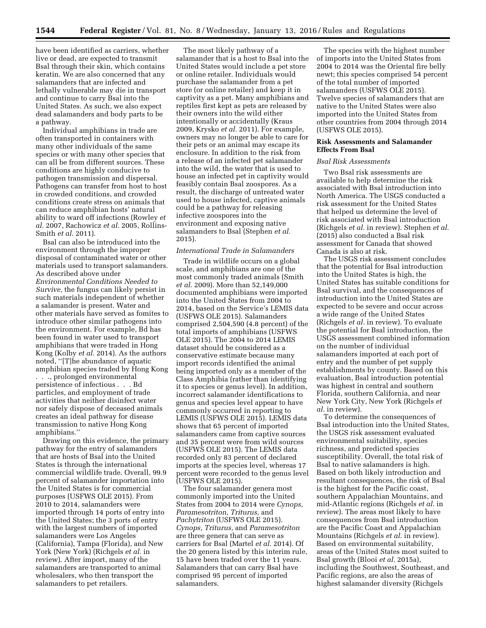have been identified as carriers, whether live or dead, are expected to transmit Bsal through their skin, which contains keratin. We are also concerned that any salamanders that are infected and lethally vulnerable may die in transport and continue to carry Bsal into the United States. As such, we also expect dead salamanders and body parts to be a pathway.

Individual amphibians in trade are often transported in containers with many other individuals of the same species or with many other species that can all be from different sources. These conditions are highly conducive to pathogen transmission and dispersal. Pathogens can transfer from host to host in crowded conditions, and crowded conditions create stress on animals that can reduce amphibian hosts' natural ability to ward off infections (Rowley *et al.* 2007, Rachowicz *et al.* 2005, Rollins-Smith *et al.* 2011).

Bsal can also be introduced into the environment through the improper disposal of contaminated water or other materials used to transport salamanders. As described above under *Environmental Conditions Needed to Survive,* the fungus can likely persist in such materials independent of whether a salamander is present. Water and other materials have served as fomites to introduce other similar pathogens into the environment. For example, Bd has been found in water used to transport amphibians that were traded in Hong Kong (Kolby *et al.* 2014). As the authors noted, ''[T]he abundance of aquatic amphibian species traded by Hong Kong . . ., prolonged environmental persistence of infectious . . . Bd particles, and employment of trade activities that neither disinfect water nor safely dispose of deceased animals creates an ideal pathway for disease transmission to native Hong Kong amphibians.''

Drawing on this evidence, the primary pathway for the entry of salamanders that are hosts of Bsal into the United States is through the international commercial wildlife trade. Overall, 99.9 percent of salamander importation into the United States is for commercial purposes (USFWS OLE 2015). From 2010 to 2014, salamanders were imported through 14 ports of entry into the United States; the 3 ports of entry with the largest numbers of imported salamanders were Los Angeles (California), Tampa (Florida), and New York (New York) (Richgels *et al.* in review). After import, many of the salamanders are transported to animal wholesalers, who then transport the salamanders to pet retailers.

The most likely pathway of a salamander that is a host to Bsal into the United States would include a pet store or online retailer. Individuals would purchase the salamander from a pet store (or online retailer) and keep it in captivity as a pet. Many amphibians and reptiles first kept as pets are released by their owners into the wild either intentionally or accidentally (Kraus 2009, Krysko *et al.* 2011). For example, owners may no longer be able to care for their pets or an animal may escape its enclosure. In addition to the risk from a release of an infected pet salamander into the wild, the water that is used to house an infected pet in captivity would feasibly contain Bsal zoospores. As a result, the discharge of untreated water used to house infected, captive animals could be a pathway for releasing infective zoospores into the environment and exposing native salamanders to Bsal (Stephen *et al.*  2015).

## *International Trade in Salamanders*

Trade in wildlife occurs on a global scale, and amphibians are one of the most commonly traded animals (Smith *et al.* 2009). More than 52,149,000 documented amphibians were imported into the United States from 2004 to 2014, based on the Service's LEMIS data (USFWS OLE 2015). Salamanders comprised 2,504,590 (4.8 percent) of the total imports of amphibians (USFWS OLE 2015). The 2004 to 2014 LEMIS dataset should be considered as a conservative estimate because many import records identified the animal being imported only as a member of the Class Amphibia (rather than identifying it to species or genus level). In addition, incorrect salamander identifications to genus and species level appear to have commonly occurred in reporting to LEMIS (USFWS OLE 2015). LEMIS data shows that 65 percent of imported salamanders came from captive sources and 35 percent were from wild sources (USFWS OLE 2015). The LEMIS data recorded only 83 percent of declared imports at the species level, whereas 17 percent were recorded to the genus level (USFWS OLE 2015).

The four salamander genera most commonly imported into the United States from 2004 to 2014 were *Cynops, Paramesotriton, Triturus,* and *Pachytriton* (USFWS OLE 2015). *Cynops, Triturus,* and *Paramesotriton*  are three genera that can serve as carriers for Bsal (Martel *et al.* 2014). Of the 20 genera listed by this interim rule, 15 have been traded over the 11 years. Salamanders that can carry Bsal have comprised 95 percent of imported salamanders.

The species with the highest number of imports into the United States from 2004 to 2014 was the Oriental fire belly newt; this species comprised 54 percent of the total number of imported salamanders (USFWS OLE 2015). Twelve species of salamanders that are native to the United States were also imported into the United States from other countries from 2004 through 2014 (USFWS OLE 2015).

## **Risk Assessments and Salamander Effects From Bsal**

# *Bsal Risk Assessments*

Two Bsal risk assessments are available to help determine the risk associated with Bsal introduction into North America. The USGS conducted a risk assessment for the United States that helped us determine the level of risk associated with Bsal introduction (Richgels *et al.* in review). Stephen *et al.*  (2015) also conducted a Bsal risk assessment for Canada that showed Canada is also at risk.

The USGS risk assessment concludes that the potential for Bsal introduction into the United States is high, the United States has suitable conditions for Bsal survival, and the consequences of introduction into the United States are expected to be severe and occur across a wide range of the United States (Richgels *et al.* in review). To evaluate the potential for Bsal introduction, the USGS assessment combined information on the number of individual salamanders imported at each port of entry and the number of pet supply establishments by county. Based on this evaluation, Bsal introduction potential was highest in central and southern Florida, southern California, and near New York City, New York (Richgels *et al.* in review).

To determine the consequences of Bsal introduction into the United States, the USGS risk assessment evaluated environmental suitability, species richness, and predicted species susceptibility. Overall, the total risk of Bsal to native salamanders is high. Based on both likely introduction and resultant consequences, the risk of Bsal is the highest for the Pacific coast, southern Appalachian Mountains, and mid-Atlantic regions (Richgels *et al.* in review). The areas most likely to have consequences from Bsal introduction are the Pacific Coast and Appalachian Mountains (Richgels *et al.* in review). Based on environmental suitability, areas of the United States most suited to Bsal growth (Blooi *et al.* 2015a), including the Southwest, Southeast, and Pacific regions, are also the areas of highest salamander diversity (Richgels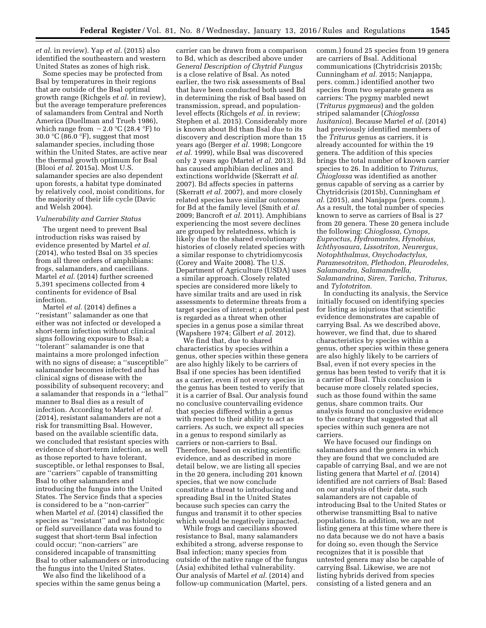*et al.* in review). Yap *et al.* (2015) also identified the southeastern and western United States as zones of high risk.

Some species may be protected from Bsal by temperatures in their regions that are outside of the Bsal optimal growth range (Richgels *et al.* in review), but the average temperature preferences of salamanders from Central and North America (Duellman and Trueb 1986), which range from  $-2.0$  °C (28.4 °F) to 30.0  $\mathrm{C}$  (86.0  $\mathrm{F}$ ), suggest that most salamander species, including those within the United States, are active near the thermal growth optimum for Bsal (Blooi *et al.* 2015a). Most U.S. salamander species are also dependent upon forests, a habitat type dominated by relatively cool, moist conditions, for the majority of their life cycle (Davic and Welsh 2004).

#### *Vulnerability and Carrier Status*

The urgent need to prevent Bsal introduction risks was raised by evidence presented by Martel *et al.*  (2014), who tested Bsal on 35 species from all three orders of amphibians: frogs, salamanders, and caecilians. Martel *et al.* (2014) further screened 5,391 specimens collected from 4 continents for evidence of Bsal infection.

Martel *et al.* (2014) defines a ''resistant'' salamander as one that either was not infected or developed a short-term infection without clinical signs following exposure to Bsal; a ''tolerant'' salamander is one that maintains a more prolonged infection with no signs of disease; a ''susceptible'' salamander becomes infected and has clinical signs of disease with the possibility of subsequent recovery; and a salamander that responds in a ''lethal'' manner to Bsal dies as a result of infection. According to Martel *et al.*  (2014), resistant salamanders are not a risk for transmitting Bsal. However, based on the available scientific data, we concluded that resistant species with evidence of short-term infection, as well as those reported to have tolerant, susceptible, or lethal responses to Bsal, are ''carriers'' capable of transmitting Bsal to other salamanders and introducing the fungus into the United States. The Service finds that a species is considered to be a ''non-carrier'' when Martel *et al.* (2014) classified the species as ''resistant'' and no histologic or field surveillance data was found to suggest that short-term Bsal infection could occur; ''non-carriers'' are considered incapable of transmitting Bsal to other salamanders or introducing the fungus into the United States.

We also find the likelihood of a species within the same genus being a

carrier can be drawn from a comparison to Bd, which as described above under *General Description of Chytrid Fungus*  is a close relative of Bsal. As noted earlier, the two risk assessments of Bsal that have been conducted both used Bd in determining the risk of Bsal based on transmission, spread, and populationlevel effects (Richgels *et al.* in review; Stephen et al. 2015). Considerably more is known about Bd than Bsal due to its discovery and description more than 15 years ago (Berger *et al.* 1998; Longcore *et al.* 1999), while Bsal was discovered only 2 years ago (Martel *et al.* 2013). Bd has caused amphibian declines and extinctions worldwide (Skerratt *et al.*  2007). Bd affects species in patterns (Skerratt *et al.* 2007), and more closely related species have similar outcomes for Bd at the family level (Smith *et al.*  2009; Bancroft *et al.* 2011). Amphibians experiencing the most severe declines are grouped by relatedness, which is likely due to the shared evolutionary histories of closely related species with a similar response to chytridiomycosis (Corey and Waite 2008). The U.S. Department of Agriculture (USDA) uses a similar approach. Closely related species are considered more likely to have similar traits and are used in risk assessments to determine threats from a target species of interest; a potential pest is regarded as a threat when other species in a genus pose a similar threat (Wapshere 1974; Gilbert *et al.* 2012).

We find that, due to shared characteristics by species within a genus, other species within these genera are also highly likely to be carriers of Bsal if one species has been identified as a carrier, even if not every species in the genus has been tested to verify that it is a carrier of Bsal. Our analysis found no conclusive countervailing evidence that species differed within a genus with respect to their ability to act as carriers. As such, we expect all species in a genus to respond similarly as carriers or non-carriers to Bsal. Therefore, based on existing scientific evidence, and as described in more detail below, we are listing all species in the 20 genera, including 201 known species, that we now conclude constitute a threat to introducing and spreading Bsal in the United States because such species can carry the fungus and transmit it to other species which would be negatively impacted.

While frogs and caecilians showed resistance to Bsal, many salamanders exhibited a strong, adverse response to Bsal infection; many species from outside of the native range of the fungus (Asia) exhibited lethal vulnerability. Our analysis of Martel *et al.* (2014) and follow-up communication (Martel, pers.

comm.) found 25 species from 19 genera are carriers of Bsal. Additional communications (Chytridcrisis 2015b; Cunningham *et al.* 2015; Nanjappa, pers. comm.) identified another two species from two separate genera as carriers: The pygmy marbled newt (*Triturus pygmaeus*) and the golden striped salamander (*Chioglossa lusitanica*). Because Martel *et al.* (2014) had previously identified members of the *Triturus* genus as carriers, it is already accounted for within the 19 genera. The addition of this species brings the total number of known carrier species to 26. In addition to *Triturus, Chioglossa* was identified as another genus capable of serving as a carrier by Chytridcrisis (2015b), Cunningham *et al.* (2015), and Nanjappa (pers. comm.). As a result, the total number of species known to serve as carriers of Bsal is 27 from 20 genera. These 20 genera include the following: *Chioglossa, Cynops, Euproctus, Hydromantes, Hynobius, Ichthyosaura, Lissotriton, Neurergus, Notophthalmus, Onychodactylus, Paramesotriton, Plethodon, Pleurodeles, Salamandra, Salamandrella, Salamandrina, Siren, Taricha, Triturus,*  and *Tylototriton.* 

In conducting its analysis, the Service initially focused on identifying species for listing as injurious that scientific evidence demonstrates are capable of carrying Bsal. As we described above, however, we find that, due to shared characteristics by species within a genus, other species within these genera are also highly likely to be carriers of Bsal, even if not every species in the genus has been tested to verify that it is a carrier of Bsal. This conclusion is because more closely related species, such as those found within the same genus, share common traits. Our analysis found no conclusive evidence to the contrary that suggested that all species within such genera are not carriers.

We have focused our findings on salamanders and the genera in which they are found that we concluded are capable of carrying Bsal, and we are not listing genera that Martel *et al.* (2014) identified are not carriers of Bsal: Based on our analysis of their data, such salamanders are not capable of introducing Bsal to the United States or otherwise transmitting Bsal to native populations. In addition, we are not listing genera at this time where there is no data because we do not have a basis for doing so, even though the Service recognizes that it is possible that untested genera may also be capable of carrying Bsal. Likewise, we are not listing hybrids derived from species consisting of a listed genera and an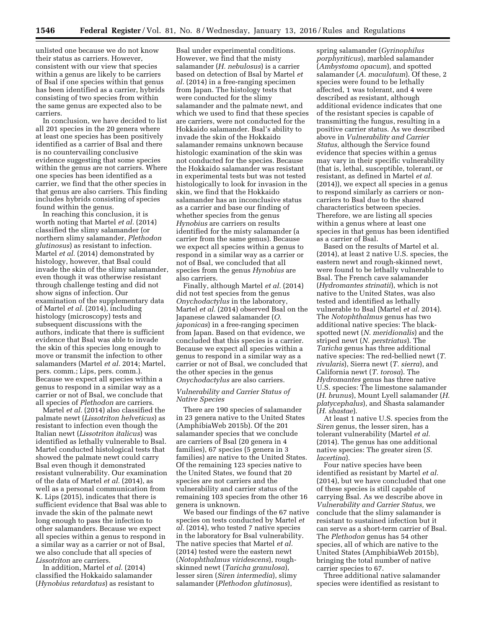unlisted one because we do not know their status as carriers. However, consistent with our view that species within a genus are likely to be carriers of Bsal if one species within that genus has been identified as a carrier, hybrids consisting of two species from within the same genus are expected also to be carriers.

In conclusion, we have decided to list all 201 species in the 20 genera where at least one species has been positively identified as a carrier of Bsal and there is no countervailing conclusive evidence suggesting that some species within the genus are not carriers. Where one species has been identified as a carrier, we find that the other species in that genus are also carriers. This finding includes hybrids consisting of species found within the genus.

In reaching this conclusion, it is worth noting that Martel *et al.* (2014) classified the slimy salamander (or northern slimy salamander, *Plethodon glutinosus*) as resistant to infection. Martel *et al.* (2014) demonstrated by histology, however, that Bsal could invade the skin of the slimy salamander, even though it was otherwise resistant through challenge testing and did not show signs of infection. Our examination of the supplementary data of Martel *et al.* (2014), including histology (microscopy) tests and subsequent discussions with the authors, indicate that there is sufficient evidence that Bsal was able to invade the skin of this species long enough to move or transmit the infection to other salamanders (Martel *et al.* 2014; Martel, pers. comm.; Lips, pers. comm.). Because we expect all species within a genus to respond in a similar way as a carrier or not of Bsal, we conclude that all species of *Plethodon* are carriers.

Martel *et al.* (2014) also classified the palmate newt (*Lissotriton helveticus*) as resistant to infection even though the Italian newt (*Lissotriton italicus*) was identified as lethally vulnerable to Bsal. Martel conducted histological tests that showed the palmate newt could carry Bsal even though it demonstrated resistant vulnerability. Our examination of the data of Martel *et al.* (2014), as well as a personal communication from K. Lips (2015), indicates that there is sufficient evidence that Bsal was able to invade the skin of the palmate newt long enough to pass the infection to other salamanders. Because we expect all species within a genus to respond in a similar way as a carrier or not of Bsal, we also conclude that all species of *Lissotriton* are carriers.

In addition, Martel *et al.* (2014) classified the Hokkaido salamander (*Hynobius retardatus*) as resistant to

Bsal under experimental conditions. However, we find that the misty salamander (*H. nebulosus*) is a carrier based on detection of Bsal by Martel *et al.* (2014) in a free-ranging specimen from Japan. The histology tests that were conducted for the slimy salamander and the palmate newt, and which we used to find that these species are carriers, were not conducted for the Hokkaido salamander. Bsal's ability to invade the skin of the Hokkaido salamander remains unknown because histologic examination of the skin was not conducted for the species. Because the Hokkaido salamander was resistant in experimental tests but was not tested histologically to look for invasion in the skin, we find that the Hokkaido salamander has an inconclusive status as a carrier and base our finding of whether species from the genus *Hynobius* are carriers on results identified for the misty salamander (a carrier from the same genus). Because we expect all species within a genus to respond in a similar way as a carrier or not of Bsal, we concluded that all species from the genus *Hynobius* are also carriers.

Finally, although Martel *et al.* (2014) did not test species from the genus *Onychodactylus* in the laboratory, Martel *et al.* (2014) observed Bsal on the Japanese clawed salamander (*O. japonicas*) in a free-ranging specimen from Japan. Based on that evidence, we concluded that this species is a carrier. Because we expect all species within a genus to respond in a similar way as a carrier or not of Bsal, we concluded that the other species in the genus *Onychodactylus* are also carriers.

# *Vulnerability and Carrier Status of Native Species*

There are 190 species of salamander in 23 genera native to the United States (AmphibiaWeb 2015b). Of the 201 salamander species that we conclude are carriers of Bsal (20 genera in 4 families), 67 species (5 genera in 3 families) are native to the United States. Of the remaining 123 species native to the United States, we found that 20 species are not carriers and the vulnerability and carrier status of the remaining 103 species from the other 16 genera is unknown.

We based our findings of the 67 native species on tests conducted by Martel *et al.* (2014), who tested 7 native species in the laboratory for Bsal vulnerability. The native species that Martel *et al.*  (2014) tested were the eastern newt (*Notophthalmus viridescens*), roughskinned newt (*Taricha granulosa*), lesser siren (*Siren intermedia*), slimy salamander (*Plethodon glutinosus*),

spring salamander (*Gyrinophilus porphyriticus*), marbled salamander (*Ambystoma opacum*), and spotted salamander (*A. maculatum*). Of these, 2 species were found to be lethally affected, 1 was tolerant, and 4 were described as resistant, although additional evidence indicates that one of the resistant species is capable of transmitting the fungus, resulting in a positive carrier status. As we described above in *Vulnerability and Carrier Status,* although the Service found evidence that species within a genus may vary in their specific vulnerability (that is, lethal, susceptible, tolerant, or resistant, as defined in Martel *et al.*  (2014)), we expect all species in a genus to respond similarly as carriers or noncarriers to Bsal due to the shared characteristics between species. Therefore, we are listing all species within a genus where at least one species in that genus has been identified as a carrier of Bsal.

Based on the results of Martel et al. (2014), at least 2 native U.S. species, the eastern newt and rough-skinned newt, were found to be lethally vulnerable to Bsal. The French cave salamander (*Hydromantes strinatii*), which is not native to the United States, was also tested and identified as lethally vulnerable to Bsal (Martel *et al.* 2014). The *Notophthalmus* genus has two additional native species: The blackspotted newt (*N. meridionalis*) and the striped newt (*N. perstriatus*). The *Taricha* genus has three additional native species: The red-bellied newt (*T. rivularis*), Sierra newt (*T. sierra*), and California newt (*T. torosa*). The *Hydromantes* genus has three native U.S. species: The limestone salamander (*H. brunus*), Mount Lyell salamander (*H. platycephalus*), and Shasta salamander (*H. shastae*).

At least 1 native U.S. species from the *Siren* genus, the lesser siren, has a tolerant vulnerability (Martel *et al.*  (2014). The genus has one additional native species: The greater siren (*S. lacertina*).

Four native species have been identified as resistant by Martel *et al.*  (2014), but we have concluded that one of these species is still capable of carrying Bsal. As we describe above in *Vulnerability and Carrier Status,* we conclude that the slimy salamander is resistant to sustained infection but it can serve as a short-term carrier of Bsal. The *Plethodon* genus has 54 other species, all of which are native to the United States (AmphibiaWeb 2015b), bringing the total number of native carrier species to 67.

Three additional native salamander species were identified as resistant to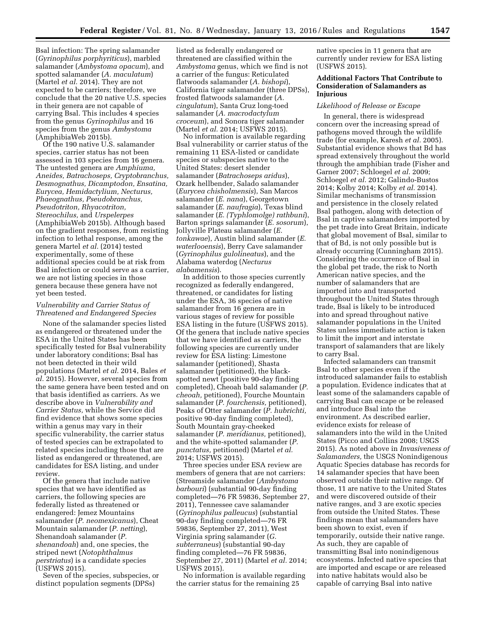Bsal infection: The spring salamander (*Gyrinophilus porphyriticus*), marbled salamander (*Ambystoma opacum*), and spotted salamander (*A. maculatum*) (Martel *et al.* 2014). They are not expected to be carriers; therefore, we conclude that the 20 native U.S. species in their genera are not capable of carrying Bsal. This includes 4 species from the genus *Gyrinophilus* and 16 species from the genus *Ambystoma*  (AmphibiaWeb 2015b).

Of the 190 native U.S. salamander species, carrier status has not been assessed in 103 species from 16 genera. The untested genera are *Amphiuma, Aneides, Batrachoseps, Cryptobranchus, Desmognathus, Dicamptodon, Ensatina, Eurycea, Hemidactylium, Necturus, Phaeognathus, Pseudobranchus, Pseudotriton, Rhyacotriton, Stereochilus,* and *Urspelerpes*  (AmphibiaWeb 2015b). Although based on the gradient responses, from resisting infection to lethal response, among the genera Martel *et al.* (2014) tested experimentally, some of these additional species could be at risk from Bsal infection or could serve as a carrier, we are not listing species in those genera because these genera have not yet been tested.

# *Vulnerability and Carrier Status of Threatened and Endangered Species*

None of the salamander species listed as endangered or threatened under the ESA in the United States has been specifically tested for Bsal vulnerability under laboratory conditions; Bsal has not been detected in their wild populations (Martel *et al.* 2014, Bales *et al.* 2015). However, several species from the same genera have been tested and on that basis identified as carriers. As we describe above in *Vulnerability and Carrier Status,* while the Service did find evidence that shows some species within a genus may vary in their specific vulnerability, the carrier status of tested species can be extrapolated to related species including those that are listed as endangered or threatened, are candidates for ESA listing, and under review.

Of the genera that include native species that we have identified as carriers, the following species are federally listed as threatened or endangered: Jemez Mountains salamander (*P. neomexicanus*), Cheat Mountain salamander (*P. netting*), Shenandoah salamander (*P. shenandoah*) and, one species, the striped newt (*Notophthalmus perstriatus*) is a candidate species (USFWS 2015).

Seven of the species, subspecies, or distinct population segments (DPSs)

listed as federally endangered or threatened are classified within the *Ambystoma* genus, which we find is not a carrier of the fungus: Reticulated flatwoods salamander (*A. bishopi*), California tiger salamander (three DPSs), frosted flatwoods salamander (*A. cingulatum*), Santa Cruz long-toed salamander (*A. macrodactylum croceum*), and Sonora tiger salamander (Martel *et al.* 2014; USFWS 2015).

No information is available regarding Bsal vulnerability or carrier status of the remaining 11 ESA-listed or candidate species or subspecies native to the United States: desert slender salamander (*Batrachoseps aridus*), Ozark hellbender, Salado salamander (*Eurycea chisholmensis*), San Marcos salamander (*E. nana*), Georgetown salamander (*E. naufragia*), Texas blind salamander (*E. (Typhlomolge) rathbuni*), Barton springs salamander (*E. sosorum*), Jollyville Plateau salamander (*E. tonkawae*), Austin blind salamander (*E. waterlooensis*), Berry Cave salamander (*Gyrinophilus gulolineatus*), and the Alabama waterdog (*Necturus alabamensis*).

In addition to those species currently recognized as federally endangered, threatened, or candidates for listing under the ESA, 36 species of native salamander from 16 genera are in various stages of review for possible ESA listing in the future (USFWS 2015). Of the genera that include native species that we have identified as carriers, the following species are currently under review for ESA listing: Limestone salamander (petitioned), Shasta salamander (petitioned), the blackspotted newt (positive 90-day finding completed), Cheoah bald salamander (*P. cheoah,* petitioned), Fourche Mountain salamander (*P. fourchensis,* petitioned), Peaks of Otter salamander (*P. hubrichti,*  positive 90-day finding completed), South Mountain gray-cheeked salamander (*P. meridianus,* petitioned), and the white-spotted salamander (*P. punctatus,* petitioned) (Martel *et al.*  2014; USFWS 2015).

Three species under ESA review are members of genera that are not carriers: (Streamside salamander (*Ambystoma barbouri*) (substantial 90-day finding completed—76 FR 59836, September 27, 2011), Tennessee cave salamander (*Gyrinophilus palleucus*) (substantial 90-day finding completed—76 FR 59836, September 27, 2011), West Virginia spring salamander (*G. subterraneus*) (substantial 90-day finding completed—76 FR 59836, September 27, 2011) (Martel *et al.* 2014; USFWS 2015).

No information is available regarding the carrier status for the remaining 25

native species in 11 genera that are currently under review for ESA listing (USFWS 2015).

## **Additional Factors That Contribute to Consideration of Salamanders as Injurious**

#### *Likelihood of Release or Escape*

In general, there is widespread concern over the increasing spread of pathogens moved through the wildlife trade (for example, Karesh *et al.* 2005). Substantial evidence shows that Bd has spread extensively throughout the world through the amphibian trade (Fisher and Garner 2007; Schloegel *et al.* 2009; Schloegel *et al.* 2012; Galindo-Bustos 2014; Kolby 2014; Kolby *et al.* 2014). Similar mechanisms of transmission and persistence in the closely related Bsal pathogen, along with detection of Bsal in captive salamanders imported by the pet trade into Great Britain, indicate that global movement of Bsal, similar to that of Bd, is not only possible but is already occurring (Cunningham 2015). Considering the occurrence of Bsal in the global pet trade, the risk to North American native species, and the number of salamanders that are imported into and transported throughout the United States through trade, Bsal is likely to be introduced into and spread throughout native salamander populations in the United States unless immediate action is taken to limit the import and interstate transport of salamanders that are likely to carry Bsal.

Infected salamanders can transmit Bsal to other species even if the introduced salamander fails to establish a population. Evidence indicates that at least some of the salamanders capable of carrying Bsal can escape or be released and introduce Bsal into the environment. As described earlier, evidence exists for release of salamanders into the wild in the United States (Picco and Collins 2008; USGS 2015). As noted above in *Invasiveness of Salamanders,* the USGS Nonindigenous Aquatic Species database has records for 14 salamander species that have been observed outside their native range. Of those, 11 are native to the United States and were discovered outside of their native ranges, and 3 are exotic species from outside the United States. These findings mean that salamanders have been shown to exist, even if temporarily, outside their native range. As such, they are capable of transmitting Bsal into nonindigenous ecosystems. Infected native species that are imported and escape or are released into native habitats would also be capable of carrying Bsal into native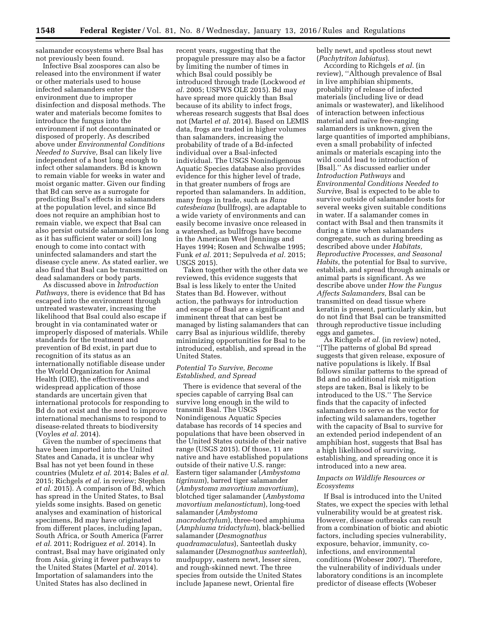salamander ecosystems where Bsal has not previously been found.

Infective Bsal zoospores can also be released into the environment if water or other materials used to house infected salamanders enter the environment due to improper disinfection and disposal methods. The water and materials become fomites to introduce the fungus into the environment if not decontaminated or disposed of properly. As described above under *Environmental Conditions Needed to Survive,* Bsal can likely live independent of a host long enough to infect other salamanders. Bd is known to remain viable for weeks in water and moist organic matter. Given our finding that Bd can serve as a surrogate for predicting Bsal's effects in salamanders at the population level, and since Bd does not require an amphibian host to remain viable, we expect that Bsal can also persist outside salamanders (as long as it has sufficient water or soil) long enough to come into contact with uninfected salamanders and start the disease cycle anew. As stated earlier, we also find that Bsal can be transmitted on dead salamanders or body parts.

As discussed above in *Introduction Pathways,* there is evidence that Bd has escaped into the environment through untreated wastewater, increasing the likelihood that Bsal could also escape if brought in via contaminated water or improperly disposed of materials. While standards for the treatment and prevention of Bd exist, in part due to recognition of its status as an internationally notifiable disease under the World Organization for Animal Health (OIE), the effectiveness and widespread application of those standards are uncertain given that international protocols for responding to Bd do not exist and the need to improve international mechanisms to respond to disease-related threats to biodiversity (Voyles *et al.* 2014).

Given the number of specimens that have been imported into the United States and Canada, it is unclear why Bsal has not yet been found in these countries (Muletz *et al.* 2014; Bales *et al.*  2015; Richgels *et al.* in review; Stephen *et al.* 2015). A comparison of Bd, which has spread in the United States, to Bsal yields some insights. Based on genetic analyses and examination of historical specimens, Bd may have originated from different places, including Japan, South Africa, or South America (Farrer *et al.* 2011; Rodriguez *et al.* 2014). In contrast, Bsal may have originated only from Asia, giving it fewer pathways to the United States (Martel *et al.* 2014). Importation of salamanders into the United States has also declined in

recent years, suggesting that the propagule pressure may also be a factor by limiting the number of times in which Bsal could possibly be introduced through trade (Lockwood *et al.* 2005; USFWS OLE 2015). Bd may have spread more quickly than Bsal because of its ability to infect frogs, whereas research suggests that Bsal does not (Martel *et al.* 2014). Based on LEMIS data, frogs are traded in higher volumes than salamanders, increasing the probability of trade of a Bd-infected individual over a Bsal-infected individual. The USGS Nonindigenous Aquatic Species database also provides evidence for this higher level of trade, in that greater numbers of frogs are reported than salamanders. In addition, many frogs in trade, such as *Rana catesbeiana* (bullfrogs), are adaptable to a wide variety of environments and can easily become invasive once released in a watershed, as bullfrogs have become in the American West (Jennings and Hayes 1994; Rosen and Schwalbe 1995; Funk *et al.* 2011; Sepulveda *et al.* 2015; USGS 2015).

Taken together with the other data we reviewed, this evidence suggests that Bsal is less likely to enter the United States than Bd. However, without action, the pathways for introduction and escape of Bsal are a significant and imminent threat that can best be managed by listing salamanders that can carry Bsal as injurious wildlife, thereby minimizing opportunities for Bsal to be introduced, establish, and spread in the United States.

## *Potential To Survive, Become Established, and Spread*

There is evidence that several of the species capable of carrying Bsal can survive long enough in the wild to transmit Bsal. The USGS Nonindigenous Aquatic Species database has records of 14 species and populations that have been observed in the United States outside of their native range (USGS 2015). Of those, 11 are native and have established populations outside of their native U.S. range: Eastern tiger salamander (*Ambystoma tigrinum*), barred tiger salamander (*Ambystoma mavortium mavortium*), blotched tiger salamander (*Ambystoma mavortium melanostictum*), long-toed salamander (*Ambystoma macrodactylum*), three-toed amphiuma (*Amphiuma tridactylum*), black-bellied salamander (*Desmognathus quadramaculatus*), Santeetlah dusky salamander (*Desmognathus santeetlah*), mudpuppy, eastern newt, lesser siren, and rough-skinned newt. The three species from outside the United States include Japanese newt, Oriental fire

belly newt, and spotless stout newt (*Pachytriton labiatus*).

According to Richgels *et al.* (in review), ''Although prevalence of Bsal in live amphibian shipments, probability of release of infected materials (including live or dead animals or wastewater), and likelihood of interaction between infectious material and naïve free-ranging salamanders is unknown, given the large quantities of imported amphibians, even a small probability of infected animals or materials escaping into the wild could lead to introduction of [Bsal].'' As discussed earlier under *Introduction Pathways* and *Environmental Conditions Needed to Survive,* Bsal is expected to be able to survive outside of salamander hosts for several weeks given suitable conditions in water. If a salamander comes in contact with Bsal and then transmits it during a time when salamanders congregate, such as during breeding as described above under *Habitats, Reproductive Processes, and Seasonal Habits,* the potential for Bsal to survive, establish, and spread through animals or animal parts is significant. As we describe above under *How the Fungus Affects Salamanders,* Bsal can be transmitted on dead tissue where keratin is present, particularly skin, but do not find that Bsal can be transmitted through reproductive tissue including eggs and gametes.

As Richgels *et al.* (in review) noted, ''[T]he patterns of global Bd spread suggests that given release, exposure of native populations is likely. If Bsal follows similar patterns to the spread of Bd and no additional risk mitigation steps are taken, Bsal is likely to be introduced to the US.'' The Service finds that the capacity of infected salamanders to serve as the vector for infecting wild salamanders, together with the capacity of Bsal to survive for an extended period independent of an amphibian host, suggests that Bsal has a high likelihood of surviving, establishing, and spreading once it is introduced into a new area.

## *Impacts on Wildlife Resources or Ecosystems*

If Bsal is introduced into the United States, we expect the species with lethal vulnerability would be at greatest risk. However, disease outbreaks can result from a combination of biotic and abiotic factors, including species vulnerability, exposure, behavior, immunity, coinfections, and environmental conditions (Wobeser 2007). Therefore, the vulnerability of individuals under laboratory conditions is an incomplete predictor of disease effects (Wobeser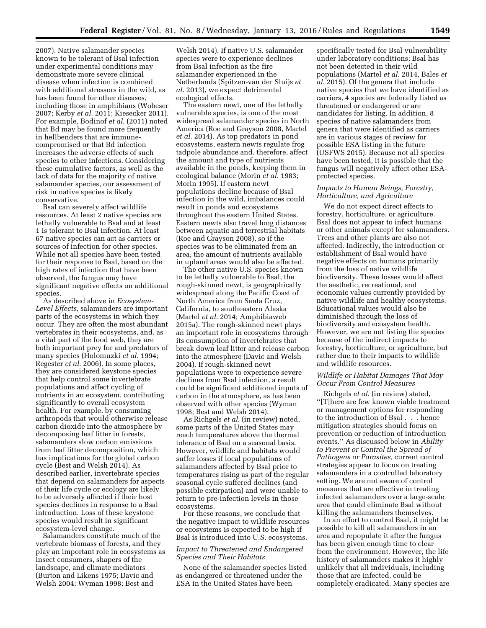2007). Native salamander species known to be tolerant of Bsal infection under experimental conditions may demonstrate more severe clinical disease when infection is combined with additional stressors in the wild, as has been found for other diseases, including those in amphibians (Wobeser 2007; Kerby *et al.* 2011; Kiesecker 2011). For example, Bodinof *et al.* (2011) noted that Bd may be found more frequently in hellbenders that are immunecompromised or that Bd infection increases the adverse effects of such species to other infections. Considering these cumulative factors, as well as the lack of data for the majority of native salamander species, our assessment of risk in native species is likely conservative.

Bsal can severely affect wildlife resources. At least 2 native species are lethally vulnerable to Bsal and at least 1 is tolerant to Bsal infection. At least 67 native species can act as carriers or sources of infection for other species. While not all species have been tested for their response to Bsal, based on the high rates of infection that have been observed, the fungus may have significant negative effects on additional species.

As described above in *Ecosystem-Level Effects,* salamanders are important parts of the ecosystems in which they occur. They are often the most abundant vertebrates in their ecosystems, and, as a vital part of the food web, they are both important prey for and predators of many species (Holomuzki *et al.* 1994; Regester *et al.* 2006). In some places, they are considered keystone species that help control some invertebrate populations and affect cycling of nutrients in an ecosystem, contributing significantly to overall ecosystem health. For example, by consuming arthropods that would otherwise release carbon dioxide into the atmosphere by decomposing leaf litter in forests, salamanders slow carbon emissions from leaf litter decomposition, which has implications for the global carbon cycle (Best and Welsh 2014). As described earlier, invertebrate species that depend on salamanders for aspects of their life cycle or ecology are likely to be adversely affected if their host species declines in response to a Bsal introduction. Loss of these keystone species would result in significant ecosystem-level change.

Salamanders constitute much of the vertebrate biomass of forests, and they play an important role in ecosystems as insect consumers, shapers of the landscape, and climate mediators (Burton and Likens 1975; Davic and Welsh 2004; Wyman 1998; Best and

Welsh 2014). If native U.S. salamander species were to experience declines from Bsal infection as the fire salamander experienced in the Netherlands (Spitzen-van der Sluijs *et al.* 2013), we expect detrimental ecological effects.

The eastern newt, one of the lethally vulnerable species, is one of the most widespread salamander species in North America (Roe and Grayson 2008, Martel *et al.* 2014). As top predators in pond ecosystems, eastern newts regulate frog tadpole abundance and, therefore, affect the amount and type of nutrients available in the ponds, keeping them in ecological balance (Morin *et al.* 1983; Morin 1995). If eastern newt populations decline because of Bsal infection in the wild, imbalances could result in ponds and ecosystems throughout the eastern United States. Eastern newts also travel long distances between aquatic and terrestrial habitats (Roe and Grayson 2008), so if the species was to be eliminated from an area, the amount of nutrients available in upland areas would also be affected.

The other native U.S. species known to be lethally vulnerable to Bsal, the rough-skinned newt, is geographically widespread along the Pacific Coast of North America from Santa Cruz, California, to southeastern Alaska (Martel *et al.* 2014; Amphibiaweb 2015a). The rough-skinned newt plays an important role in ecosystems through its consumption of invertebrates that break down leaf litter and release carbon into the atmosphere (Davic and Welsh 2004). If rough-skinned newt populations were to experience severe declines from Bsal infection, a result could be significant additional inputs of carbon in the atmosphere, as has been observed with other species (Wyman 1998; Best and Welsh 2014).

As Richgels *et al.* (in review) noted, some parts of the United States may reach temperatures above the thermal tolerance of Bsal on a seasonal basis. However, wildlife and habitats would suffer losses if local populations of salamanders affected by Bsal prior to temperatures rising as part of the regular seasonal cycle suffered declines (and possible extirpation) and were unable to return to pre-infection levels in those ecosystems.

For these reasons, we conclude that the negative impact to wildlife resources or ecosystems is expected to be high if Bsal is introduced into U.S. ecosystems.

## *Impact to Threatened and Endangered Species and Their Habitats*

None of the salamander species listed as endangered or threatened under the ESA in the United States have been

specifically tested for Bsal vulnerability under laboratory conditions; Bsal has not been detected in their wild populations (Martel *et al.* 2014, Bales *et al.* 2015). Of the genera that include native species that we have identified as carriers, 4 species are federally listed as threatened or endangered or are candidates for listing. In addition, 8 species of native salamanders from genera that were identified as carriers are in various stages of review for possible ESA listing in the future (USFWS 2015). Because not all species have been tested, it is possible that the fungus will negatively affect other ESAprotected species.

## *Impacts to Human Beings, Forestry, Horticulture, and Agriculture*

We do not expect direct effects to forestry, horticulture, or agriculture. Bsal does not appear to infect humans or other animals except for salamanders. Trees and other plants are also not affected. Indirectly, the introduction or establishment of Bsal would have negative effects on humans primarily from the loss of native wildlife biodiversity. These losses would affect the aesthetic, recreational, and economic values currently provided by native wildlife and healthy ecosystems. Educational values would also be diminished through the loss of biodiversity and ecosystem health. However, we are not listing the species because of the indirect impacts to forestry, horticulture, or agriculture, but rather due to their impacts to wildlife and wildlife resources.

# *Wildlife or Habitat Damages That May Occur From Control Measures*

Richgels *et al.* (in review) stated, ''[T]here are few known viable treatment or management options for responding to the introduction of Bsal . . . hence mitigation strategies should focus on prevention or reduction of introduction events.'' As discussed below in *Ability to Prevent or Control the Spread of Pathogens or Parasites,* current control strategies appear to focus on treating salamanders in a controlled laboratory setting. We are not aware of control measures that are effective in treating infected salamanders over a large-scale area that could eliminate Bsal without killing the salamanders themselves.

In an effort to control Bsal, it might be possible to kill all salamanders in an area and repopulate it after the fungus has been given enough time to clear from the environment. However, the life history of salamanders makes it highly unlikely that all individuals, including those that are infected, could be completely eradicated. Many species are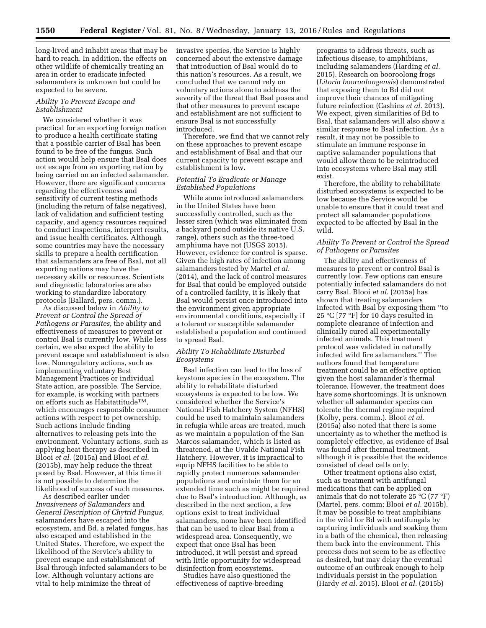long-lived and inhabit areas that may be hard to reach. In addition, the effects on other wildlife of chemically treating an area in order to eradicate infected salamanders is unknown but could be expected to be severe.

## *Ability To Prevent Escape and Establishment*

We considered whether it was practical for an exporting foreign nation to produce a health certificate stating that a possible carrier of Bsal has been found to be free of the fungus. Such action would help ensure that Bsal does not escape from an exporting nation by being carried on an infected salamander. However, there are significant concerns regarding the effectiveness and sensitivity of current testing methods (including the return of false negatives), lack of validation and sufficient testing capacity, and agency resources required to conduct inspections, interpret results, and issue health certificates. Although some countries may have the necessary skills to prepare a health certification that salamanders are free of Bsal, not all exporting nations may have the necessary skills or resources. Scientists and diagnostic laboratories are also working to standardize laboratory protocols (Ballard, pers. comm.).

As discussed below in *Ability to Prevent or Control the Spread of Pathogens or Parasites,* the ability and effectiveness of measures to prevent or control Bsal is currently low. While less certain, we also expect the ability to prevent escape and establishment is also low. Nonregulatory actions, such as implementing voluntary Best Management Practices or individual State action, are possible. The Service, for example, is working with partners on efforts such as HabitattitudeTM, which encourages responsible consumer actions with respect to pet ownership. Such actions include finding alternatives to releasing pets into the environment. Voluntary actions, such as applying heat therapy as described in Blooi *et al.* (2015a) and Blooi *et al.*  (2015b), may help reduce the threat posed by Bsal. However, at this time it is not possible to determine the likelihood of success of such measures.

As described earlier under *Invasiveness of Salamanders* and *General Description of Chytrid Fungus,*  salamanders have escaped into the ecosystem, and Bd, a related fungus, has also escaped and established in the United States. Therefore, we expect the likelihood of the Service's ability to prevent escape and establishment of Bsal through infected salamanders to be low. Although voluntary actions are vital to help minimize the threat of

invasive species, the Service is highly concerned about the extensive damage that introduction of Bsal would do to this nation's resources. As a result, we concluded that we cannot rely on voluntary actions alone to address the severity of the threat that Bsal poses and that other measures to prevent escape and establishment are not sufficient to ensure Bsal is not successfully introduced.

Therefore, we find that we cannot rely on these approaches to prevent escape and establishment of Bsal and that our current capacity to prevent escape and establishment is low.

## *Potential To Eradicate or Manage Established Populations*

While some introduced salamanders in the United States have been successfully controlled, such as the lesser siren (which was eliminated from a backyard pond outside its native U.S. range), others such as the three-toed amphiuma have not (USGS 2015). However, evidence for control is sparse. Given the high rates of infection among salamanders tested by Martel *et al.*  (2014), and the lack of control measures for Bsal that could be employed outside of a controlled facility, it is likely that Bsal would persist once introduced into the environment given appropriate environmental conditions, especially if a tolerant or susceptible salamander established a population and continued to spread Bsal.

# *Ability To Rehabilitate Disturbed Ecosystems*

Bsal infection can lead to the loss of keystone species in the ecosystem. The ability to rehabilitate disturbed ecosystems is expected to be low. We considered whether the Service's National Fish Hatchery System (NFHS) could be used to maintain salamanders in refugia while areas are treated, much as we maintain a population of the San Marcos salamander, which is listed as threatened, at the Uvalde National Fish Hatchery. However, it is impractical to equip NFHS facilities to be able to rapidly protect numerous salamander populations and maintain them for an extended time such as might be required due to Bsal's introduction. Although, as described in the next section, a few options exist to treat individual salamanders, none have been identified that can be used to clear Bsal from a widespread area. Consequently, we expect that once Bsal has been introduced, it will persist and spread with little opportunity for widespread disinfection from ecosystems.

Studies have also questioned the effectiveness of captive-breeding

programs to address threats, such as infectious disease, to amphibians, including salamanders (Harding *et al.*  2015). Research on booroolong frogs (*Litoria booroolongensis*) demonstrated that exposing them to Bd did not improve their chances of mitigating future reinfection (Cashins *et al.* 2013). We expect, given similarities of Bd to Bsal, that salamanders will also show a similar response to Bsal infection. As a result, it may not be possible to stimulate an immune response in captive salamander populations that would allow them to be reintroduced into ecosystems where Bsal may still exist.

Therefore, the ability to rehabilitate disturbed ecosystems is expected to be low because the Service would be unable to ensure that it could treat and protect all salamander populations expected to be affected by Bsal in the wild.

## *Ability To Prevent or Control the Spread of Pathogens or Parasites*

The ability and effectiveness of measures to prevent or control Bsal is currently low. Few options can ensure potentially infected salamanders do not carry Bsal. Blooi *et al.* (2015a) has shown that treating salamanders infected with Bsal by exposing them ''to 25 °C [77 °F] for 10 days resulted in complete clearance of infection and clinically cured all experimentally infected animals. This treatment protocol was validated in naturally infected wild fire salamanders.'' The authors found that temperature treatment could be an effective option given the host salamander's thermal tolerance. However, the treatment does have some shortcomings. It is unknown whether all salamander species can tolerate the thermal regime required (Kolby, pers. comm.). Blooi *et al.*  (2015a) also noted that there is some uncertainty as to whether the method is completely effective, as evidence of Bsal was found after thermal treatment, although it is possible that the evidence consisted of dead cells only.

Other treatment options also exist, such as treatment with antifungal medications that can be applied on animals that do not tolerate 25 °C (77 °F) (Martel, pers. comm; Blooi *et al.* 2015b). It may be possible to treat amphibians in the wild for Bd with antifungals by capturing individuals and soaking them in a bath of the chemical, then releasing them back into the environment. This process does not seem to be as effective as desired, but may delay the eventual outcome of an outbreak enough to help individuals persist in the population (Hardy *et al.* 2015). Blooi *et al.* (2015b)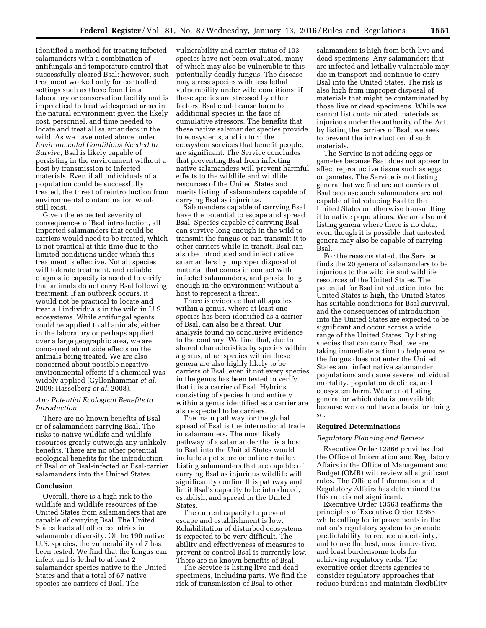identified a method for treating infected salamanders with a combination of antifungals and temperature control that successfully cleared Bsal; however, such treatment worked only for controlled settings such as those found in a laboratory or conservation facility and is impractical to treat widespread areas in the natural environment given the likely cost, personnel, and time needed to locate and treat all salamanders in the wild. As we have noted above under *Environmental Conditions Needed to Survive,* Bsal is likely capable of persisting in the environment without a host by transmission to infected materials. Even if all individuals of a population could be successfully treated, the threat of reintroduction from environmental contamination would still exist.

Given the expected severity of consequences of Bsal introduction, all imported salamanders that could be carriers would need to be treated, which is not practical at this time due to the limited conditions under which this treatment is effective. Not all species will tolerate treatment, and reliable diagnostic capacity is needed to verify that animals do not carry Bsal following treatment. If an outbreak occurs, it would not be practical to locate and treat all individuals in the wild in U.S. ecosystems. While antifungal agents could be applied to all animals, either in the laboratory or perhaps applied over a large geographic area, we are concerned about side effects on the animals being treated. We are also concerned about possible negative environmental effects if a chemical was widely applied (Gyllenhammar *et al.*  2009; Hasselberg *et al.* 2008).

# *Any Potential Ecological Benefits to Introduction*

There are no known benefits of Bsal or of salamanders carrying Bsal. The risks to native wildlife and wildlife resources greatly outweigh any unlikely benefits. There are no other potential ecological benefits for the introduction of Bsal or of Bsal-infected or Bsal-carrier salamanders into the United States.

## **Conclusion**

Overall, there is a high risk to the wildlife and wildlife resources of the United States from salamanders that are capable of carrying Bsal. The United States leads all other countries in salamander diversity. Of the 190 native U.S. species, the vulnerability of 7 has been tested. We find that the fungus can infect and is lethal to at least 2 salamander species native to the United States and that a total of 67 native species are carriers of Bsal. The

vulnerability and carrier status of 103 species have not been evaluated, many of which may also be vulnerable to this potentially deadly fungus. The disease may stress species with less lethal vulnerability under wild conditions; if these species are stressed by other factors, Bsal could cause harm to additional species in the face of cumulative stressors. The benefits that these native salamander species provide to ecosystems, and in turn the ecosystem services that benefit people, are significant. The Service concludes that preventing Bsal from infecting native salamanders will prevent harmful effects to the wildlife and wildlife resources of the United States and merits listing of salamanders capable of carrying Bsal as injurious.

Salamanders capable of carrying Bsal have the potential to escape and spread Bsal. Species capable of carrying Bsal can survive long enough in the wild to transmit the fungus or can transmit it to other carriers while in transit. Bsal can also be introduced and infect native salamanders by improper disposal of material that comes in contact with infected salamanders, and persist long enough in the environment without a host to represent a threat.

There is evidence that all species within a genus, where at least one species has been identified as a carrier of Bsal, can also be a threat. Our analysis found no conclusive evidence to the contrary. We find that, due to shared characteristics by species within a genus, other species within these genera are also highly likely to be carriers of Bsal, even if not every species in the genus has been tested to verify that it is a carrier of Bsal. Hybrids consisting of species found entirely within a genus identified as a carrier are also expected to be carriers.

The main pathway for the global spread of Bsal is the international trade in salamanders. The most likely pathway of a salamander that is a host to Bsal into the United States would include a pet store or online retailer. Listing salamanders that are capable of carrying Bsal as injurious wildlife will significantly confine this pathway and limit Bsal's capacity to be introduced, establish, and spread in the United States.

The current capacity to prevent escape and establishment is low. Rehabilitation of disturbed ecosystems is expected to be very difficult. The ability and effectiveness of measures to prevent or control Bsal is currently low. There are no known benefits of Bsal.

The Service is listing live and dead specimens, including parts. We find the risk of transmission of Bsal to other

salamanders is high from both live and dead specimens. Any salamanders that are infected and lethally vulnerable may die in transport and continue to carry Bsal into the United States. The risk is also high from improper disposal of materials that might be contaminated by those live or dead specimens. While we cannot list contaminated materials as injurious under the authority of the Act, by listing the carriers of Bsal, we seek to prevent the introduction of such materials.

The Service is not adding eggs or gametes because Bsal does not appear to affect reproductive tissue such as eggs or gametes. The Service is not listing genera that we find are not carriers of Bsal because such salamanders are not capable of introducing Bsal to the United States or otherwise transmitting it to native populations. We are also not listing genera where there is no data, even though it is possible that untested genera may also be capable of carrying Bsal.

For the reasons stated, the Service finds the 20 genera of salamanders to be injurious to the wildlife and wildlife resources of the United States. The potential for Bsal introduction into the United States is high, the United States has suitable conditions for Bsal survival, and the consequences of introduction into the United States are expected to be significant and occur across a wide range of the United States. By listing species that can carry Bsal, we are taking immediate action to help ensure the fungus does not enter the United States and infect native salamander populations and cause severe individual mortality, population declines, and ecosystem harm. We are not listing genera for which data is unavailable because we do not have a basis for doing so.

## **Required Determinations**

#### *Regulatory Planning and Review*

Executive Order 12866 provides that the Office of Information and Regulatory Affairs in the Office of Management and Budget (OMB) will review all significant rules. The Office of Information and Regulatory Affairs has determined that this rule is not significant.

Executive Order 13563 reaffirms the principles of Executive Order 12866 while calling for improvements in the nation's regulatory system to promote predictability, to reduce uncertainty, and to use the best, most innovative, and least burdensome tools for achieving regulatory ends. The executive order directs agencies to consider regulatory approaches that reduce burdens and maintain flexibility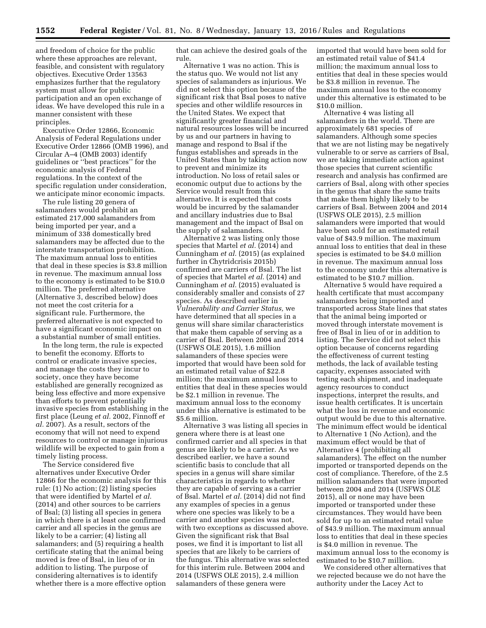and freedom of choice for the public where these approaches are relevant, feasible, and consistent with regulatory objectives. Executive Order 13563 emphasizes further that the regulatory system must allow for public participation and an open exchange of ideas. We have developed this rule in a manner consistent with these principles.

Executive Order 12866, Economic Analysis of Federal Regulations under Executive Order 12866 (OMB 1996), and Circular A–4 (OMB 2003) identify guidelines or ''best practices'' for the economic analysis of Federal regulations. In the context of the specific regulation under consideration, we anticipate minor economic impacts.

The rule listing 20 genera of salamanders would prohibit an estimated 217,000 salamanders from being imported per year, and a minimum of 338 domestically bred salamanders may be affected due to the interstate transportation prohibition. The maximum annual loss to entities that deal in these species is \$3.8 million in revenue. The maximum annual loss to the economy is estimated to be \$10.0 million. The preferred alternative (Alternative 3, described below) does not meet the cost criteria for a significant rule. Furthermore, the preferred alternative is not expected to have a significant economic impact on a substantial number of small entities.

In the long term, the rule is expected to benefit the economy. Efforts to control or eradicate invasive species, and manage the costs they incur to society, once they have become established are generally recognized as being less effective and more expensive than efforts to prevent potentially invasive species from establishing in the first place (Leung *et al.* 2002, Finnoff *et al.* 2007). As a result, sectors of the economy that will not need to expend resources to control or manage injurious wildlife will be expected to gain from a timely listing process.

The Service considered five alternatives under Executive Order 12866 for the economic analysis for this rule: (1) No action; (2) listing species that were identified by Martel *et al.*  (2014) and other sources to be carriers of Bsal; (3) listing all species in genera in which there is at least one confirmed carrier and all species in the genus are likely to be a carrier; (4) listing all salamanders; and (5) requiring a health certificate stating that the animal being moved is free of Bsal, in lieu of or in addition to listing. The purpose of considering alternatives is to identify whether there is a more effective option that can achieve the desired goals of the rule.

Alternative 1 was no action. This is the status quo. We would not list any species of salamanders as injurious. We did not select this option because of the significant risk that Bsal poses to native species and other wildlife resources in the United States. We expect that significantly greater financial and natural resources losses will be incurred by us and our partners in having to manage and respond to Bsal if the fungus establishes and spreads in the United States than by taking action now to prevent and minimize its introduction. No loss of retail sales or economic output due to actions by the Service would result from this alternative. It is expected that costs would be incurred by the salamander and ancillary industries due to Bsal management and the impact of Bsal on the supply of salamanders.

Alternative 2 was listing only those species that Martel *et al.* (2014) and Cunningham *et al.* (2015) (as explained further in Chytridcrisis 2015b) confirmed are carriers of Bsal. The list of species that Martel *et al.* (2014) and Cunningham *et al.* (2015) evaluated is considerably smaller and consists of 27 species. As described earlier in *Vulnerability and Carrier Status,* we have determined that all species in a genus will share similar characteristics that make them capable of serving as a carrier of Bsal. Between 2004 and 2014 (USFWS OLE 2015), 1.6 million salamanders of these species were imported that would have been sold for an estimated retail value of \$22.8 million; the maximum annual loss to entities that deal in these species would be \$2.1 million in revenue. The maximum annual loss to the economy under this alternative is estimated to be \$5.6 million.

Alternative 3 was listing all species in genera where there is at least one confirmed carrier and all species in that genus are likely to be a carrier. As we described earlier, we have a sound scientific basis to conclude that all species in a genus will share similar characteristics in regards to whether they are capable of serving as a carrier of Bsal. Martel *et al.* (2014) did not find any examples of species in a genus where one species was likely to be a carrier and another species was not, with two exceptions as discussed above. Given the significant risk that Bsal poses, we find it is important to list all species that are likely to be carriers of the fungus. This alternative was selected for this interim rule. Between 2004 and 2014 (USFWS OLE 2015), 2.4 million salamanders of these genera were

imported that would have been sold for an estimated retail value of \$41.4 million; the maximum annual loss to entities that deal in these species would be \$3.8 million in revenue. The maximum annual loss to the economy under this alternative is estimated to be \$10.0 million.

Alternative 4 was listing all salamanders in the world. There are approximately 681 species of salamanders. Although some species that we are not listing may be negatively vulnerable to or serve as carriers of Bsal, we are taking immediate action against those species that current scientific research and analysis has confirmed are carriers of Bsal, along with other species in the genus that share the same traits that make them highly likely to be carriers of Bsal. Between 2004 and 2014 (USFWS OLE 2015), 2.5 million salamanders were imported that would have been sold for an estimated retail value of \$43.9 million. The maximum annual loss to entities that deal in these species is estimated to be \$4.0 million in revenue. The maximum annual loss to the economy under this alternative is estimated to be \$10.7 million.

Alternative 5 would have required a health certificate that must accompany salamanders being imported and transported across State lines that states that the animal being imported or moved through interstate movement is free of Bsal in lieu of or in addition to listing. The Service did not select this option because of concerns regarding the effectiveness of current testing methods, the lack of available testing capacity, expenses associated with testing each shipment, and inadequate agency resources to conduct inspections, interpret the results, and issue health certificates. It is uncertain what the loss in revenue and economic output would be due to this alternative. The minimum effect would be identical to Alternative 1 (No Action), and the maximum effect would be that of Alternative 4 (prohibiting all salamanders). The effect on the number imported or transported depends on the cost of compliance. Therefore, of the 2.5 million salamanders that were imported between 2004 and 2014 (USFWS OLE 2015), all or none may have been imported or transported under these circumstances. They would have been sold for up to an estimated retail value of \$43.9 million. The maximum annual loss to entities that deal in these species is \$4.0 million in revenue. The maximum annual loss to the economy is estimated to be \$10.7 million.

We considered other alternatives that we rejected because we do not have the authority under the Lacey Act to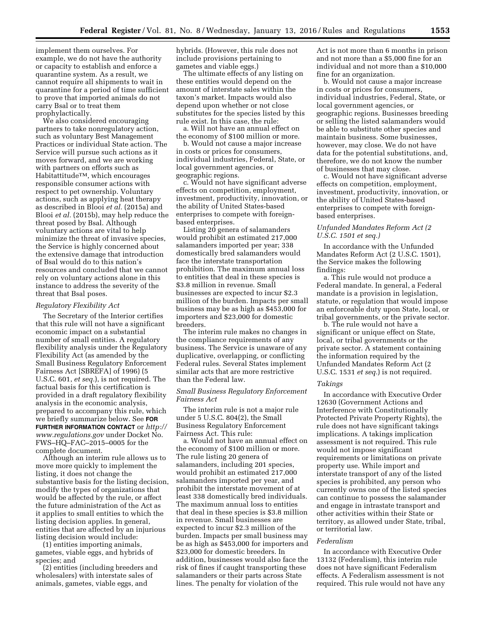implement them ourselves. For example, we do not have the authority or capacity to establish and enforce a quarantine system. As a result, we cannot require all shipments to wait in quarantine for a period of time sufficient to prove that imported animals do not carry Bsal or to treat them prophylactically.

We also considered encouraging partners to take nonregulatory action, such as voluntary Best Management Practices or individual State action. The Service will pursue such actions as it moves forward, and we are working with partners on efforts such as  $Habitattitude<sup>TM</sup>, which encourages$ responsible consumer actions with respect to pet ownership. Voluntary actions, such as applying heat therapy as described in Blooi *et al.* (2015a) and Blooi *et al.* (2015b), may help reduce the threat posed by Bsal. Although voluntary actions are vital to help minimize the threat of invasive species, the Service is highly concerned about the extensive damage that introduction of Bsal would do to this nation's resources and concluded that we cannot rely on voluntary actions alone in this instance to address the severity of the threat that Bsal poses.

### *Regulatory Flexibility Act*

The Secretary of the Interior certifies that this rule will not have a significant economic impact on a substantial number of small entities. A regulatory flexibility analysis under the Regulatory Flexibility Act (as amended by the Small Business Regulatory Enforcement Fairness Act [SBREFA] of 1996) (5 U.S.C. 601, *et seq.*), is not required. The factual basis for this certification is provided in a draft regulatory flexibility analysis in the economic analysis, prepared to accompany this rule, which we briefly summarize below. See **FOR FURTHER INFORMATION CONTACT** or *[http://](http://www.regulations.gov) [www.regulations.gov](http://www.regulations.gov)* under Docket No. FWS–HQ–FAC–2015–0005 for the complete document.

Although an interim rule allows us to move more quickly to implement the listing, it does not change the substantive basis for the listing decision, modify the types of organizations that would be affected by the rule, or affect the future administration of the Act as it applies to small entities to which the listing decision applies. In general, entities that are affected by an injurious listing decision would include:

(1) entities importing animals, gametes, viable eggs, and hybrids of species; and

(2) entities (including breeders and wholesalers) with interstate sales of animals, gametes, viable eggs, and

hybrids. (However, this rule does not include provisions pertaining to gametes and viable eggs.)

The ultimate effects of any listing on these entities would depend on the amount of interstate sales within the taxon's market. Impacts would also depend upon whether or not close substitutes for the species listed by this rule exist. In this case, the rule:

a. Will not have an annual effect on the economy of \$100 million or more.

b. Would not cause a major increase in costs or prices for consumers, individual industries, Federal, State, or local government agencies, or geographic regions.

c. Would not have significant adverse effects on competition, employment, investment, productivity, innovation, or the ability of United States-based enterprises to compete with foreignbased enterprises.

Listing 20 genera of salamanders would prohibit an estimated 217,000 salamanders imported per year; 338 domestically bred salamanders would face the interstate transportation prohibition. The maximum annual loss to entities that deal in these species is \$3.8 million in revenue. Small businesses are expected to incur \$2.3 million of the burden. Impacts per small business may be as high as \$453,000 for importers and \$23,000 for domestic breeders.

The interim rule makes no changes in the compliance requirements of any business. The Service is unaware of any duplicative, overlapping, or conflicting Federal rules. Several States implement similar acts that are more restrictive than the Federal law.

## *Small Business Regulatory Enforcement Fairness Act*

The interim rule is not a major rule under 5 U.S.C. 804(2), the Small Business Regulatory Enforcement Fairness Act. This rule:

a. Would not have an annual effect on the economy of \$100 million or more. The rule listing 20 genera of salamanders, including 201 species, would prohibit an estimated 217,000 salamanders imported per year, and prohibit the interstate movement of at least 338 domestically bred individuals. The maximum annual loss to entities that deal in these species is \$3.8 million in revenue. Small businesses are expected to incur \$2.3 million of the burden. Impacts per small business may be as high as \$453,000 for importers and \$23,000 for domestic breeders. In addition, businesses would also face the risk of fines if caught transporting these salamanders or their parts across State lines. The penalty for violation of the

Act is not more than 6 months in prison and not more than a \$5,000 fine for an individual and not more than a \$10,000 fine for an organization.

b. Would not cause a major increase in costs or prices for consumers, individual industries, Federal, State, or local government agencies, or geographic regions. Businesses breeding or selling the listed salamanders would be able to substitute other species and maintain business. Some businesses, however, may close. We do not have data for the potential substitutions, and, therefore, we do not know the number of businesses that may close.

c. Would not have significant adverse effects on competition, employment, investment, productivity, innovation, or the ability of United States-based enterprises to compete with foreignbased enterprises.

# *Unfunded Mandates Reform Act (2 U.S.C. 1501 et seq.)*

In accordance with the Unfunded Mandates Reform Act (2 U.S.C. 1501), the Service makes the following findings:

a. This rule would not produce a Federal mandate. In general, a Federal mandate is a provision in legislation, statute, or regulation that would impose an enforceable duty upon State, local, or tribal governments, or the private sector.

b. The rule would not have a significant or unique effect on State, local, or tribal governments or the private sector. A statement containing the information required by the Unfunded Mandates Reform Act (2 U.S.C. 1531 *et seq.*) is not required.

#### *Takings*

In accordance with Executive Order 12630 (Government Actions and Interference with Constitutionally Protected Private Property Rights), the rule does not have significant takings implications. A takings implication assessment is not required. This rule would not impose significant requirements or limitations on private property use. While import and interstate transport of any of the listed species is prohibited, any person who currently owns one of the listed species can continue to possess the salamander and engage in intrastate transport and other activities within their State or territory, as allowed under State, tribal, or territorial law.

#### *Federalism*

In accordance with Executive Order 13132 (Federalism), this interim rule does not have significant Federalism effects. A Federalism assessment is not required. This rule would not have any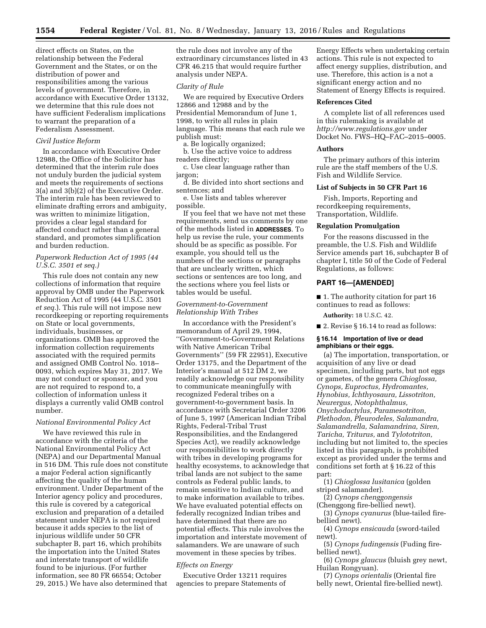direct effects on States, on the relationship between the Federal Government and the States, or on the distribution of power and responsibilities among the various levels of government. Therefore, in accordance with Executive Order 13132, we determine that this rule does not have sufficient Federalism implications to warrant the preparation of a Federalism Assessment.

#### *Civil Justice Reform*

In accordance with Executive Order 12988, the Office of the Solicitor has determined that the interim rule does not unduly burden the judicial system and meets the requirements of sections 3(a) and 3(b)(2) of the Executive Order. The interim rule has been reviewed to eliminate drafting errors and ambiguity, was written to minimize litigation, provides a clear legal standard for affected conduct rather than a general standard, and promotes simplification and burden reduction.

# *Paperwork Reduction Act of 1995 (44 U.S.C. 3501 et seq.)*

This rule does not contain any new collections of information that require approval by OMB under the Paperwork Reduction Act of 1995 (44 U.S.C. 3501 *et seq.*). This rule will not impose new recordkeeping or reporting requirements on State or local governments, individuals, businesses, or organizations. OMB has approved the information collection requirements associated with the required permits and assigned OMB Control No. 1018– 0093, which expires May 31, 2017. We may not conduct or sponsor, and you are not required to respond to, a collection of information unless it displays a currently valid OMB control number.

#### *National Environmental Policy Act*

We have reviewed this rule in accordance with the criteria of the National Environmental Policy Act (NEPA) and our Departmental Manual in 516 DM. This rule does not constitute a major Federal action significantly affecting the quality of the human environment. Under Department of the Interior agency policy and procedures, this rule is covered by a categorical exclusion and preparation of a detailed statement under NEPA is not required because it adds species to the list of injurious wildlife under 50 CFR subchapter B, part 16, which prohibits the importation into the United States and interstate transport of wildlife found to be injurious. (For further information, see 80 FR 66554; October 29, 2015.) We have also determined that

the rule does not involve any of the extraordinary circumstances listed in 43 CFR 46.215 that would require further analysis under NEPA.

#### *Clarity of Rule*

We are required by Executive Orders 12866 and 12988 and by the Presidential Memorandum of June 1, 1998, to write all rules in plain language. This means that each rule we publish must:

a. Be logically organized;

b. Use the active voice to address readers directly;

c. Use clear language rather than jargon;

d. Be divided into short sections and sentences; and

e. Use lists and tables wherever possible.

If you feel that we have not met these requirements, send us comments by one of the methods listed in **ADDRESSES**. To help us revise the rule, your comments should be as specific as possible. For example, you should tell us the numbers of the sections or paragraphs that are unclearly written, which sections or sentences are too long, and the sections where you feel lists or tables would be useful.

## *Government-to-Government Relationship With Tribes*

In accordance with the President's memorandum of April 29, 1994, ''Government-to-Government Relations with Native American Tribal Governments'' (59 FR 22951), Executive Order 13175, and the Department of the Interior's manual at 512 DM 2, we readily acknowledge our responsibility to communicate meaningfully with recognized Federal tribes on a government-to-government basis. In accordance with Secretarial Order 3206 of June 5, 1997 (American Indian Tribal Rights, Federal-Tribal Trust Responsibilities, and the Endangered Species Act), we readily acknowledge our responsibilities to work directly with tribes in developing programs for healthy ecosystems, to acknowledge that tribal lands are not subject to the same controls as Federal public lands, to remain sensitive to Indian culture, and to make information available to tribes. We have evaluated potential effects on federally recognized Indian tribes and have determined that there are no potential effects. This rule involves the importation and interstate movement of salamanders. We are unaware of such movement in these species by tribes.

# *Effects on Energy*

Executive Order 13211 requires agencies to prepare Statements of

Energy Effects when undertaking certain actions. This rule is not expected to affect energy supplies, distribution, and use. Therefore, this action is a not a significant energy action and no Statement of Energy Effects is required.

#### **References Cited**

A complete list of all references used in this rulemaking is available at *<http://www.regulations.gov>* under Docket No. FWS–HQ–FAC–2015–0005.

#### **Authors**

The primary authors of this interim rule are the staff members of the U.S. Fish and Wildlife Service.

#### **List of Subjects in 50 CFR Part 16**

Fish, Imports, Reporting and recordkeeping requirements, Transportation, Wildlife.

# **Regulation Promulgation**

For the reasons discussed in the preamble, the U.S. Fish and Wildlife Service amends part 16, subchapter B of chapter I, title 50 of the Code of Federal Regulations, as follows:

# **PART 16—[AMENDED]**

■ 1. The authority citation for part 16 continues to read as follows:

**Authority:** 18 U.S.C. 42.

■ 2. Revise § 16.14 to read as follows:

### **§ 16.14 Importation of live or dead amphibians or their eggs.**

(a) The importation, transportation, or acquisition of any live or dead specimen, including parts, but not eggs or gametes, of the genera *Chioglossa, Cynops, Euproctus, Hydromantes, Hynobius, Ichthyosaura, Lissotriton, Neurergus, Notophthalmus, Onychodactylus, Paramesotriton, Plethodon, Pleurodeles, Salamandra, Salamandrella, Salamandrina, Siren, Taricha, Triturus,* and *Tylototriton,*  including but not limited to, the species listed in this paragraph, is prohibited except as provided under the terms and conditions set forth at § 16.22 of this part:

(1) *Chioglossa lusitanica* (golden striped salamander).

(2) *Cynops chenggongensis* 

(Chenggong fire-bellied newt).

(3) *Cynops cyanurus* (blue-tailed firebellied newt).

(4) *Cynops ensicauda* (sword-tailed newt).

(5) *Cynops fudingensis* (Fuding firebellied newt).

(6) *Cynops glaucus* (bluish grey newt, Huilan Rongyuan).

(7) *Cynops orientalis* (Oriental fire belly newt, Oriental fire-bellied newt).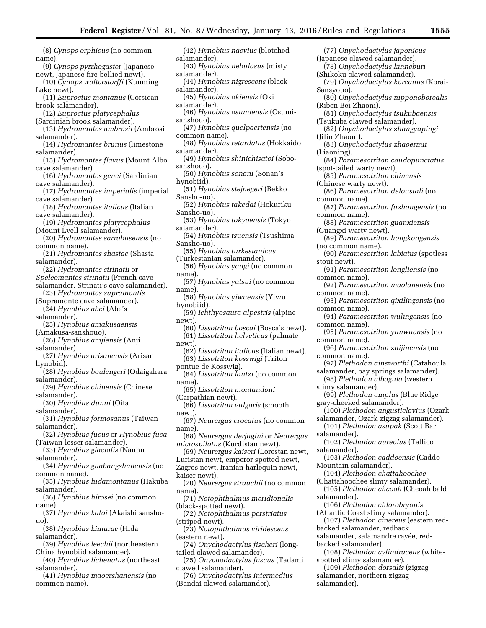(8) *Cynops orphicus* (no common name). (9) *Cynops pyrrhogaster* (Japanese newt, Japanese fire-bellied newt). (10) *Cynops wolterstorffi* (Kunming Lake newt). (11) *Euproctus montanus* (Corsican brook salamander). (12) *Euproctus platycephalus*  (Sardinian brook salamander). (13) *Hydromantes ambrosii* (Ambrosi salamander). (14) *Hydromantes brunus* (limestone salamander). (15) *Hydromantes flavus* (Mount Albo cave salamander). (16) *Hydromantes genei* (Sardinian cave salamander). (17) *Hydromantes imperialis* (imperial cave salamander). (18) *Hydromantes italicus* (Italian cave salamander). (19) *Hydromantes platycephalus*  (Mount Lyell salamander). (20) *Hydromantes sarrabusensis* (no common name). (21) *Hydromantes shastae* (Shasta salamander). (22) *Hydromantes strinatii* or *Speleomantes strinatii* (French cave salamander, Strinati's cave salamander). (23) *Hydromantes supramontis*  (Supramonte cave salamander). (24) *Hynobius abei* (Abe's salamander). (25) *Hynobius amakusaensis*  (Amakusa-sanshouo). (26) *Hynobius amjiensis* (Anji salamander). (27) *Hynobius arisanensis* (Arisan hynobid). (28) *Hynobius boulengeri* (Odaigahara salamander). (29) *Hynobius chinensis* (Chinese salamander). (30) *Hynobius dunni* (Oita salamander). (31) *Hynobius formosanus* (Taiwan salamander). (32) *Hynobius fucus* or *Hynobius fuca*  (Taiwan lesser salamander). (33) *Hynobius glacialis* (Nanhu salamander). (34) *Hynobius guabangshanensis* (no common name). (35) *Hynobius hidamontanus* (Hakuba salamander). (36) *Hynobius hirosei* (no common name). (37) *Hynobius katoi* (Akaishi sanshouo). (38) *Hynobius kimurae* (Hida salamander). (39) *Hynobius leechii* (northeastern China hynobiid salamander). (40) *Hynobius lichenatus* (northeast salamander).

- (41) *Hynobius maoershanensis* (no common name).
- (42) *Hynobius naevius* (blotched salamander). (43) *Hynobius nebulosus* (misty salamander). (44) *Hynobius nigrescens* (black salamander). (45) *Hynobius okiensis* (Oki salamander). (46) *Hynobius osumiensis* (Osumisanshouo). (47) *Hynobius quelpaertensis* (no common name). (48) *Hynobius retardatus* (Hokkaido salamander). (49) *Hynobius shinichisatoi* (Sobosanshouo). (50) *Hynobius sonani* (Sonan's hynobiid). (51) *Hynobius stejnegeri* (Bekko Sansho-uo). (52) *Hynobius takedai* (Hokuriku Sansho-uo). (53) *Hynobius tokyoensis* (Tokyo salamander). (54) *Hynobius tsuensis* (Tsushima Sansho-uo). (55) *Hynobius turkestanicus*  (Turkestanian salamander). (56) *Hynobius yangi* (no common name). (57) *Hynobius yatsui* (no common name). (58) *Hynobius yiwuensis* (Yiwu hynobiid). (59) *Ichthyosaura alpestris* (alpine newt). (60) *Lissotriton boscai* (Bosca's newt). (61) *Lissotriton helveticus* (palmate newt). (62) *Lissotriton italicus* (Italian newt). (63) *Lissotriton kosswigi* (Triton pontue de Kosswig). (64) *Lissotriton lantzi* (no common name). (65) *Lissotriton montandoni*  (Carpathian newt). (66) *Lissotriton vulgaris* (smooth newt). (67) *Neurergus crocatus* (no common name). (68) *Neurergus derjugini* or *Neurergus microspilotus* (Kurdistan newt). (69) *Neurergus kaiseri* (Lorestan newt, Luristan newt, emperor spotted newt, Zagros newt, Iranian harlequin newt, kaiser newt). (70) *Neurergus strauchii* (no common name). (71) *Notophthalmus meridionalis*  (black-spotted newt). (72) *Notophthalmus perstriatus*  (striped newt). (73) *Notophthalmus viridescens*  (eastern newt). (74) *Onychodactylus fischeri* (longtailed clawed salamander). (75) *Onychodactylus fuscus* (Tadami clawed salamander). (76) *Onychodactylus intermedius*  (77) *Onychodactylus japonicus*  (Japanese clawed salamander). (78) *Onychodactylus kinneburi*  (Shikoku clawed salamander). (79) *Onychodactylus koreanus* (Korai-Sansyouo). (80) *Onychodactylus nipponoborealis*  (Riben Bei Zhaoni). (81) *Onychodactylus tsukubaensis*  (Tsukuba clawed salamander). (82) *Onychodactylus zhangyapingi*  (Jilin Zhaoni).
- (Bandai clawed salamander).
- (83) *Onychodactylus zhaoermii*  (Liaoning). (84) *Paramesotriton caudopunctatus*  (spot-tailed warty newt). (85) *Paramesotriton chinensis*  (Chinese warty newt). (86) *Paramesotriton deloustali* (no common name). (87) *Paramesotriton fuzhongensis* (no common name). (88) *Paramesotriton guanxiensis*  (Guangxi warty newt). (89) *Paramesotriton hongkongensis*  (no common name). (90) *Paramesotriton labiatus* (spotless stout newt). (91) *Paramesotriton longliensis* (no common name). (92) *Paramesotriton maolanensis* (no common name). (93) *Paramesotriton qixilingensis* (no common name). (94) *Paramesotriton wulingensis* (no
- common name).
- (95) *Paramesotriton yunwuensis* (no common name).
- (96) *Paramesotriton zhijinensis* (no common name).
- (97) *Plethodon ainsworthi* (Catahoula salamander, bay springs salamander).
- (98) *Plethodon albagula* (western slimy salamander).
- (99) *Plethodon amplus* (Blue Ridge gray-cheeked salamander).
- (100) *Plethodon angusticlavius* (Ozark salamander, Ozark zigzag salamander).
- (101) *Plethodon asupak* (Scott Bar salamander).
- (102) *Plethodon aureolus* (Tellico salamander).
- (103) *Plethodon caddoensis* (Caddo Mountain salamander).
	- (104) *Plethodon chattahoochee*
- (Chattahoochee slimy salamander). (105) *Plethodon cheoah* (Cheoah bald salamander).
- (106) *Plethodon chlorobryonis*

(Atlantic Coast slimy salamander). (107) *Plethodon cinereus* (eastern redbacked salamander, redback salamander, salamandre rayée, red-

backed salamander).

- (108) *Plethodon cylindraceus* (whitespotted slimy salamander).
- (109) *Plethodon dorsalis* (zigzag salamander, northern zigzag salamander).